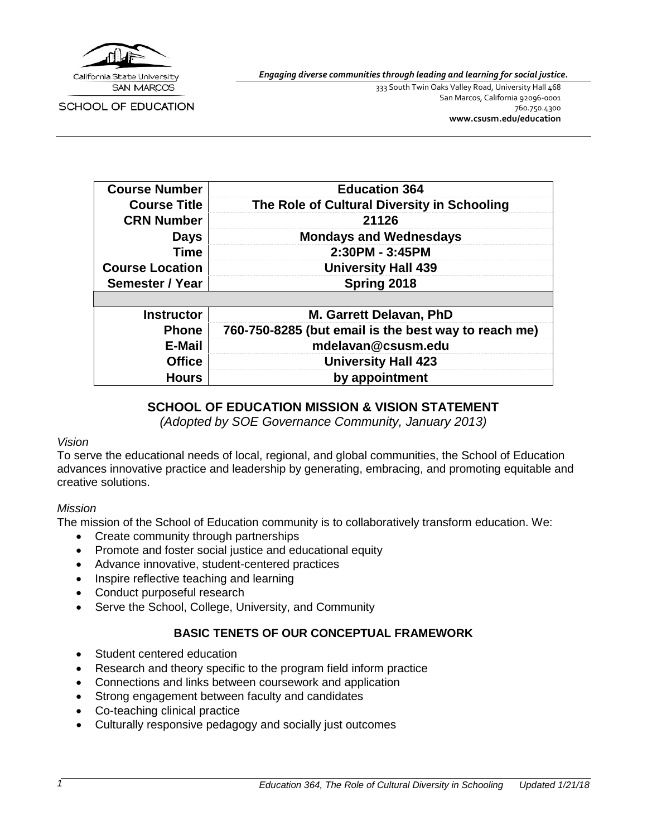

**SCHOOL OF EDUCATION** 

*Engaging diverse communities through leading and learning for social justice.*

333 South Twin Oaks Valley Road, University Hall 468 San Marcos, California 92096-0001 760.750.4300 **[www.csusm.edu/education](http://www.csusm.edu/education)**

| <b>Course Number</b>   | <b>Education 364</b>                                 |
|------------------------|------------------------------------------------------|
| <b>Course Title</b>    | The Role of Cultural Diversity in Schooling          |
| <b>CRN Number</b>      | 21126                                                |
| <b>Days</b>            | <b>Mondays and Wednesdays</b>                        |
| <b>Time</b>            | 2:30PM - 3:45PM                                      |
| <b>Course Location</b> | <b>University Hall 439</b>                           |
| <b>Semester / Year</b> | Spring 2018                                          |
|                        |                                                      |
| <b>Instructor</b>      | M. Garrett Delavan, PhD                              |
| <b>Phone</b>           | 760-750-8285 (but email is the best way to reach me) |
| E-Mail                 | mdelavan@csusm.edu                                   |
| <b>Office</b>          | <b>University Hall 423</b>                           |
| <b>Hours</b>           | by appointment                                       |

### **SCHOOL OF EDUCATION MISSION & VISION STATEMENT**

*(Adopted by SOE Governance Community, January 2013)*

### *Vision*

To serve the educational needs of local, regional, and global communities, the School of Education advances innovative practice and leadership by generating, embracing, and promoting equitable and creative solutions.

### *Mission*

The mission of the School of Education community is to collaboratively transform education. We:

- Create community through partnerships
- Promote and foster social justice and educational equity
- Advance innovative, student-centered practices
- Inspire reflective teaching and learning
- Conduct purposeful research
- Serve the School, College, University, and Community

### **BASIC TENETS OF OUR CONCEPTUAL FRAMEWORK**

- Student centered education
- Research and theory specific to the program field inform practice
- Connections and links between coursework and application
- Strong engagement between faculty and candidates
- Co-teaching clinical practice
- Culturally responsive pedagogy and socially just outcomes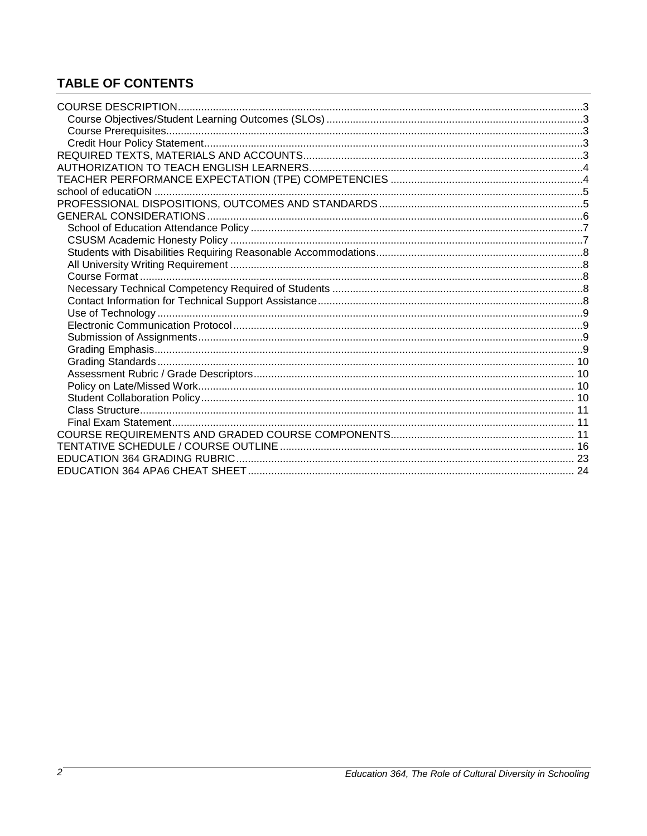# **TABLE OF CONTENTS**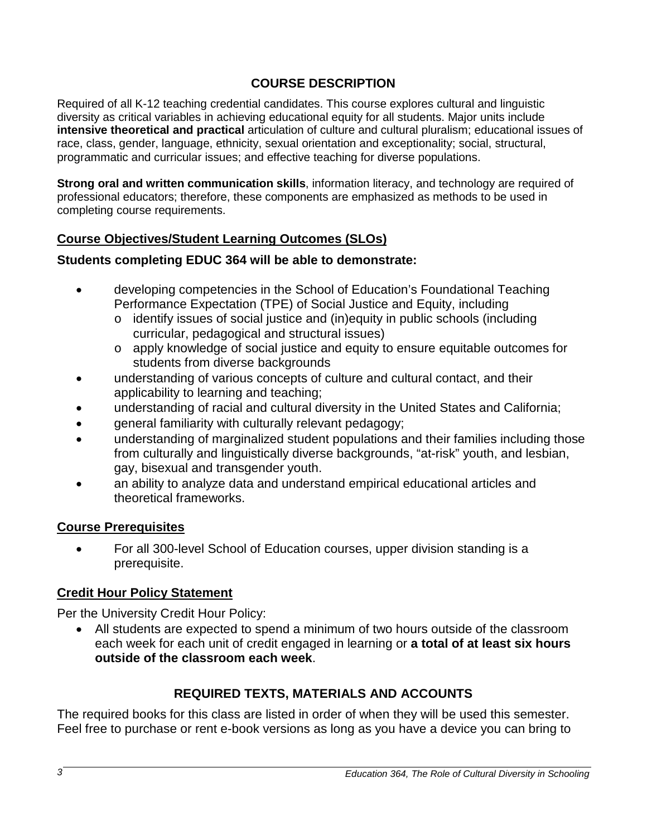### **COURSE DESCRIPTION**

<span id="page-2-0"></span>Required of all K-12 teaching credential candidates. This course explores cultural and linguistic diversity as critical variables in achieving educational equity for all students. Major units include **intensive theoretical and practical** articulation of culture and cultural pluralism; educational issues of race, class, gender, language, ethnicity, sexual orientation and exceptionality; social, structural, programmatic and curricular issues; and effective teaching for diverse populations.

**Strong oral and written communication skills**, information literacy, and technology are required of professional educators; therefore, these components are emphasized as methods to be used in completing course requirements.

# <span id="page-2-1"></span>**Course Objectives/Student Learning Outcomes (SLOs)**

## **Students completing EDUC 364 will be able to demonstrate:**

- developing competencies in the School of Education's Foundational Teaching Performance Expectation (TPE) of Social Justice and Equity, including
	- o identify issues of social justice and (in)equity in public schools (including curricular, pedagogical and structural issues)
	- o apply knowledge of social justice and equity to ensure equitable outcomes for students from diverse backgrounds
- understanding of various concepts of culture and cultural contact, and their applicability to learning and teaching;
- understanding of racial and cultural diversity in the United States and California;
- general familiarity with culturally relevant pedagogy;
- understanding of marginalized student populations and their families including those from culturally and linguistically diverse backgrounds, "at-risk" youth, and lesbian, gay, bisexual and transgender youth.
- an ability to analyze data and understand empirical educational articles and theoretical frameworks.

## <span id="page-2-2"></span>**Course Prerequisites**

• For all 300-level School of Education courses, upper division standing is a prerequisite.

## <span id="page-2-3"></span>**Credit Hour Policy Statement**

Per the University Credit Hour Policy:

• All students are expected to spend a minimum of two hours outside of the classroom each week for each unit of credit engaged in learning or **a total of at least six hours outside of the classroom each week**.

## **REQUIRED TEXTS, MATERIALS AND ACCOUNTS**

<span id="page-2-4"></span>The required books for this class are listed in order of when they will be used this semester. Feel free to purchase or rent e-book versions as long as you have a device you can bring to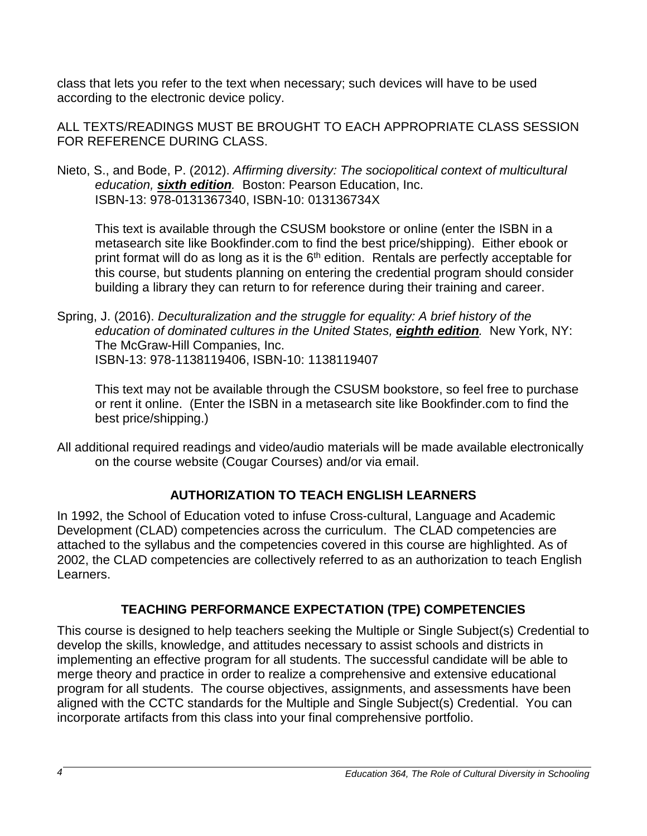class that lets you refer to the text when necessary; such devices will have to be used according to the electronic device policy.

ALL TEXTS/READINGS MUST BE BROUGHT TO EACH APPROPRIATE CLASS SESSION FOR REFERENCE DURING CLASS.

Nieto, S., and Bode, P. (2012). *Affirming diversity: The sociopolitical context of multicultural education, sixth edition.* Boston: Pearson Education, Inc. ISBN-13: 978-0131367340, ISBN-10: 013136734X

This text is available through the CSUSM bookstore or online (enter the ISBN in a metasearch site like Bookfinder.com to find the best price/shipping). Either ebook or print format will do as long as it is the  $6<sup>th</sup>$  edition. Rentals are perfectly acceptable for this course, but students planning on entering the credential program should consider building a library they can return to for reference during their training and career.

Spring, J. (2016). *Deculturalization and the struggle for equality: A brief history of the education of dominated cultures in the United States, eighth edition.* New York, NY: The McGraw-Hill Companies, Inc. ISBN-13: 978-1138119406, ISBN-10: 1138119407

This text may not be available through the CSUSM bookstore, so feel free to purchase or rent it online. (Enter the ISBN in a metasearch site like Bookfinder.com to find the best price/shipping.)

All additional required readings and video/audio materials will be made available electronically on the course website (Cougar Courses) and/or via email.

# **AUTHORIZATION TO TEACH ENGLISH LEARNERS**

<span id="page-3-0"></span>In 1992, the School of Education voted to infuse Cross-cultural, Language and Academic Development (CLAD) competencies across the curriculum. The CLAD competencies are attached to the syllabus and the competencies covered in this course are highlighted. As of 2002, the CLAD competencies are collectively referred to as an authorization to teach English Learners.

# **TEACHING PERFORMANCE EXPECTATION (TPE) COMPETENCIES**

<span id="page-3-1"></span>This course is designed to help teachers seeking the Multiple or Single Subject(s) Credential to develop the skills, knowledge, and attitudes necessary to assist schools and districts in implementing an effective program for all students. The successful candidate will be able to merge theory and practice in order to realize a comprehensive and extensive educational program for all students. The course objectives, assignments, and assessments have been aligned with the CCTC standards for the Multiple and Single Subject(s) Credential. You can incorporate artifacts from this class into your final comprehensive portfolio.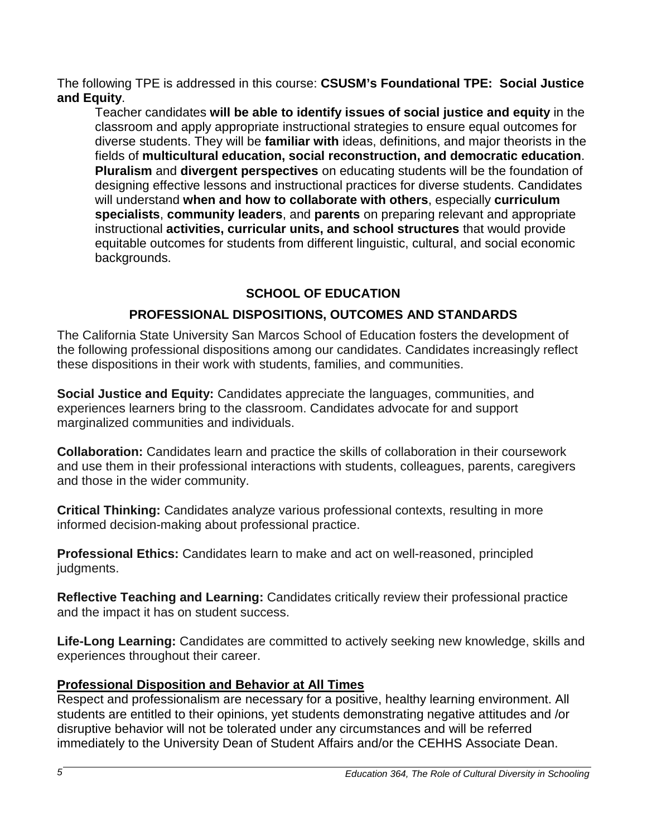The following TPE is addressed in this course: **CSUSM's Foundational TPE: Social Justice and Equity**.

Teacher candidates **will be able to identify issues of social justice and equity** in the classroom and apply appropriate instructional strategies to ensure equal outcomes for diverse students. They will be **familiar with** ideas, definitions, and major theorists in the fields of **multicultural education, social reconstruction, and democratic education**. **Pluralism** and **divergent perspectives** on educating students will be the foundation of designing effective lessons and instructional practices for diverse students. Candidates will understand **when and how to collaborate with others**, especially **curriculum specialists**, **community leaders**, and **parents** on preparing relevant and appropriate instructional **activities, curricular units, and school structures** that would provide equitable outcomes for students from different linguistic, cultural, and social economic backgrounds.

# **SCHOOL OF EDUCATION**

## **PROFESSIONAL DISPOSITIONS, OUTCOMES AND STANDARDS**

<span id="page-4-1"></span><span id="page-4-0"></span>The California State University San Marcos School of Education fosters the development of the following professional dispositions among our candidates. Candidates increasingly reflect these dispositions in their work with students, families, and communities.

**Social Justice and Equity:** Candidates appreciate the languages, communities, and experiences learners bring to the classroom. Candidates advocate for and support marginalized communities and individuals.

**Collaboration:** Candidates learn and practice the skills of collaboration in their coursework and use them in their professional interactions with students, colleagues, parents, caregivers and those in the wider community.

**Critical Thinking:** Candidates analyze various professional contexts, resulting in more informed decision-making about professional practice.

**Professional Ethics:** Candidates learn to make and act on well-reasoned, principled judgments.

**Reflective Teaching and Learning:** Candidates critically review their professional practice and the impact it has on student success.

**Life-Long Learning:** Candidates are committed to actively seeking new knowledge, skills and experiences throughout their career.

### **Professional Disposition and Behavior at All Times**

Respect and professionalism are necessary for a positive, healthy learning environment. All students are entitled to their opinions, yet students demonstrating negative attitudes and /or disruptive behavior will not be tolerated under any circumstances and will be referred immediately to the University Dean of Student Affairs and/or the CEHHS Associate Dean.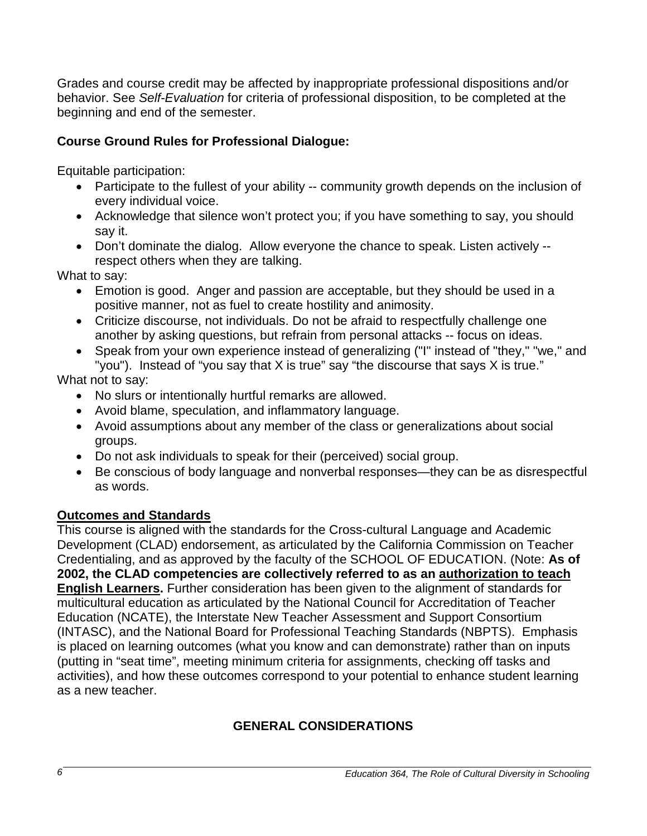Grades and course credit may be affected by inappropriate professional dispositions and/or behavior. See *Self-Evaluation* for criteria of professional disposition, to be completed at the beginning and end of the semester.

## **Course Ground Rules for Professional Dialogue:**

Equitable participation:

- Participate to the fullest of your ability -- community growth depends on the inclusion of every individual voice.
- Acknowledge that silence won't protect you; if you have something to say, you should say it.
- Don't dominate the dialog. Allow everyone the chance to speak. Listen actively respect others when they are talking.

What to say:

- Emotion is good. Anger and passion are acceptable, but they should be used in a positive manner, not as fuel to create hostility and animosity.
- Criticize discourse, not individuals. Do not be afraid to respectfully challenge one another by asking questions, but refrain from personal attacks -- focus on ideas.
- Speak from your own experience instead of generalizing ("I" instead of "they," "we," and "you"). Instead of "you say that X is true" say "the discourse that says X is true."

What not to say:

- No slurs or intentionally hurtful remarks are allowed.
- Avoid blame, speculation, and inflammatory language.
- Avoid assumptions about any member of the class or generalizations about social groups.
- Do not ask individuals to speak for their (perceived) social group.
- Be conscious of body language and nonverbal responses—they can be as disrespectful as words.

# **Outcomes and Standards**

This course is aligned with the standards for the Cross-cultural Language and Academic Development (CLAD) endorsement, as articulated by the California Commission on Teacher Credentialing, and as approved by the faculty of the SCHOOL OF EDUCATION. (Note: **As of 2002, the CLAD competencies are collectively referred to as an authorization to teach English Learners.** Further consideration has been given to the alignment of standards for multicultural education as articulated by the National Council for Accreditation of Teacher Education (NCATE), the Interstate New Teacher Assessment and Support Consortium (INTASC), and the National Board for Professional Teaching Standards (NBPTS). Emphasis is placed on learning outcomes (what you know and can demonstrate) rather than on inputs (putting in "seat time", meeting minimum criteria for assignments, checking off tasks and activities), and how these outcomes correspond to your potential to enhance student learning as a new teacher.

# <span id="page-5-0"></span>**GENERAL CONSIDERATIONS**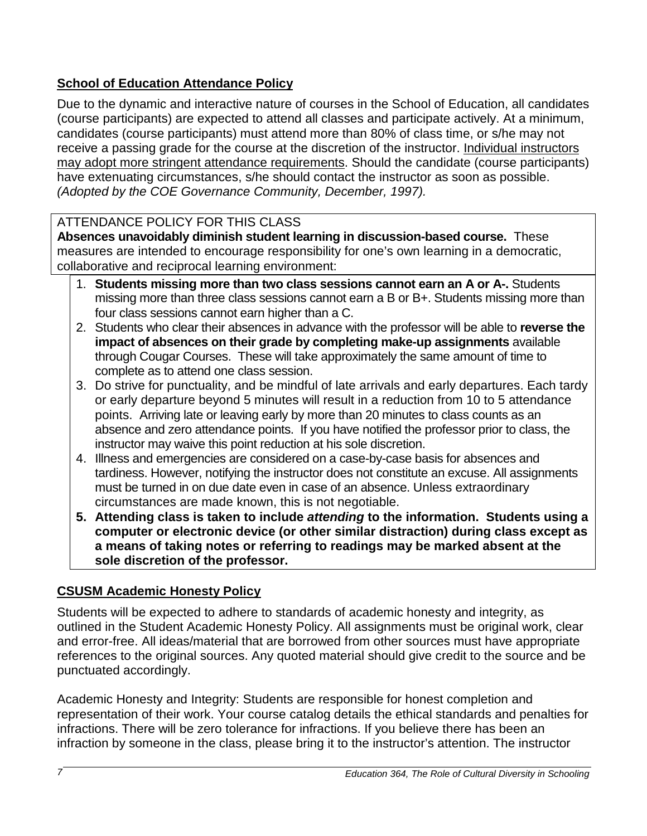# <span id="page-6-0"></span>**School of Education Attendance Policy**

Due to the dynamic and interactive nature of courses in the School of Education, all candidates (course participants) are expected to attend all classes and participate actively. At a minimum, candidates (course participants) must attend more than 80% of class time, or s/he may not receive a passing grade for the course at the discretion of the instructor. Individual instructors may adopt more stringent attendance requirements. Should the candidate (course participants) have extenuating circumstances, s/he should contact the instructor as soon as possible. *(Adopted by the COE Governance Community, December, 1997).* 

# ATTENDANCE POLICY FOR THIS CLASS

**Absences unavoidably diminish student learning in discussion-based course.** These measures are intended to encourage responsibility for one's own learning in a democratic, collaborative and reciprocal learning environment:

- 1. **Students missing more than two class sessions cannot earn an A or A-.** Students missing more than three class sessions cannot earn a B or B+. Students missing more than four class sessions cannot earn higher than a C.
- 2. Students who clear their absences in advance with the professor will be able to **reverse the impact of absences on their grade by completing make-up assignments** available through Cougar Courses. These will take approximately the same amount of time to complete as to attend one class session.
- 3. Do strive for punctuality, and be mindful of late arrivals and early departures. Each tardy or early departure beyond 5 minutes will result in a reduction from 10 to 5 attendance points. Arriving late or leaving early by more than 20 minutes to class counts as an absence and zero attendance points. If you have notified the professor prior to class, the instructor may waive this point reduction at his sole discretion.
- 4. Illness and emergencies are considered on a case-by-case basis for absences and tardiness. However, notifying the instructor does not constitute an excuse. All assignments must be turned in on due date even in case of an absence. Unless extraordinary circumstances are made known, this is not negotiable.
- **5. Attending class is taken to include** *attending* **to the information. Students using a computer or electronic device (or other similar distraction) during class except as a means of taking notes or referring to readings may be marked absent at the sole discretion of the professor.**

# <span id="page-6-1"></span>**CSUSM Academic Honesty Policy**

Students will be expected to adhere to standards of academic honesty and integrity, as outlined in the Student Academic Honesty Policy. All assignments must be original work, clear and error-free. All ideas/material that are borrowed from other sources must have appropriate references to the original sources. Any quoted material should give credit to the source and be punctuated accordingly.

Academic Honesty and Integrity: Students are responsible for honest completion and representation of their work. Your course catalog details the ethical standards and penalties for infractions. There will be zero tolerance for infractions. If you believe there has been an infraction by someone in the class, please bring it to the instructor's attention. The instructor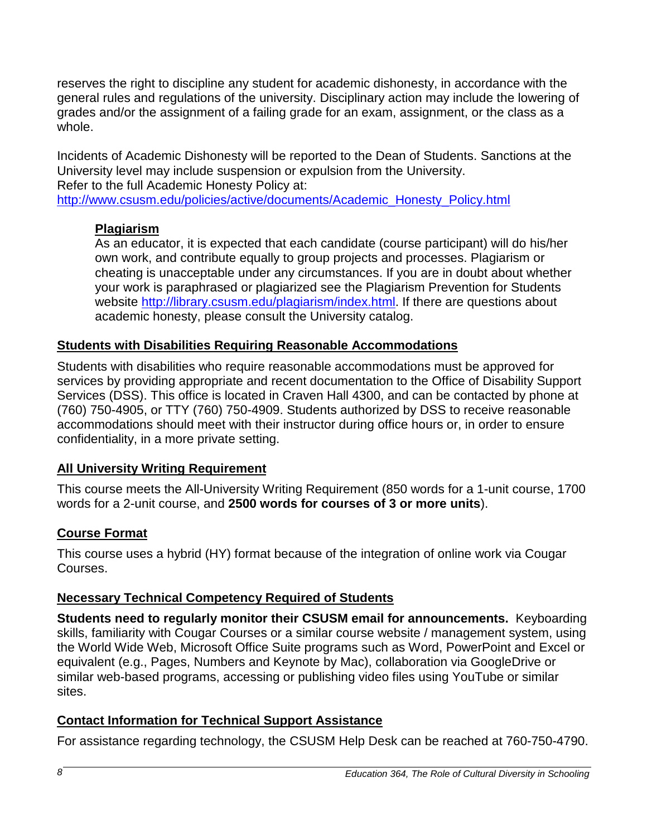reserves the right to discipline any student for academic dishonesty, in accordance with the general rules and regulations of the university. Disciplinary action may include the lowering of grades and/or the assignment of a failing grade for an exam, assignment, or the class as a whole.

Incidents of Academic Dishonesty will be reported to the Dean of Students. Sanctions at the University level may include suspension or expulsion from the University. Refer to the full Academic Honesty Policy at:

[http://www.csusm.edu/policies/active/documents/Academic\\_Honesty\\_Policy.html](http://www.csusm.edu/policies/active/documents/Academic_Honesty_Policy.html)

# **Plagiarism**

As an educator, it is expected that each candidate (course participant) will do his/her own work, and contribute equally to group projects and processes. Plagiarism or cheating is unacceptable under any circumstances. If you are in doubt about whether your work is paraphrased or plagiarized see the Plagiarism Prevention for Students website [http://library.csusm.edu/plagiarism/index.html.](http://library.csusm.edu/plagiarism/index.html) If there are questions about academic honesty, please consult the University catalog.

# <span id="page-7-0"></span>**Students with Disabilities Requiring Reasonable Accommodations**

Students with disabilities who require reasonable accommodations must be approved for services by providing appropriate and recent documentation to the Office of Disability Support Services (DSS). This office is located in Craven Hall 4300, and can be contacted by phone at (760) 750-4905, or TTY (760) 750-4909. Students authorized by DSS to receive reasonable accommodations should meet with their instructor during office hours or, in order to ensure confidentiality, in a more private setting.

# <span id="page-7-1"></span>**All University Writing Requirement**

This course meets the All-University Writing Requirement (850 words for a 1-unit course, 1700 words for a 2-unit course, and **2500 words for courses of 3 or more units**).

# <span id="page-7-2"></span>**Course Format**

This course uses a hybrid (HY) format because of the integration of online work via Cougar Courses.

# <span id="page-7-3"></span>**Necessary Technical Competency Required of Students**

**Students need to regularly monitor their CSUSM email for announcements.** Keyboarding skills, familiarity with Cougar Courses or a similar course website / management system, using the World Wide Web, Microsoft Office Suite programs such as Word, PowerPoint and Excel or equivalent (e.g., Pages, Numbers and Keynote by Mac), collaboration via GoogleDrive or similar web-based programs, accessing or publishing video files using YouTube or similar sites.

# <span id="page-7-4"></span>**Contact Information for Technical Support Assistance**

For assistance regarding technology, the CSUSM Help Desk can be reached at 760-750-4790.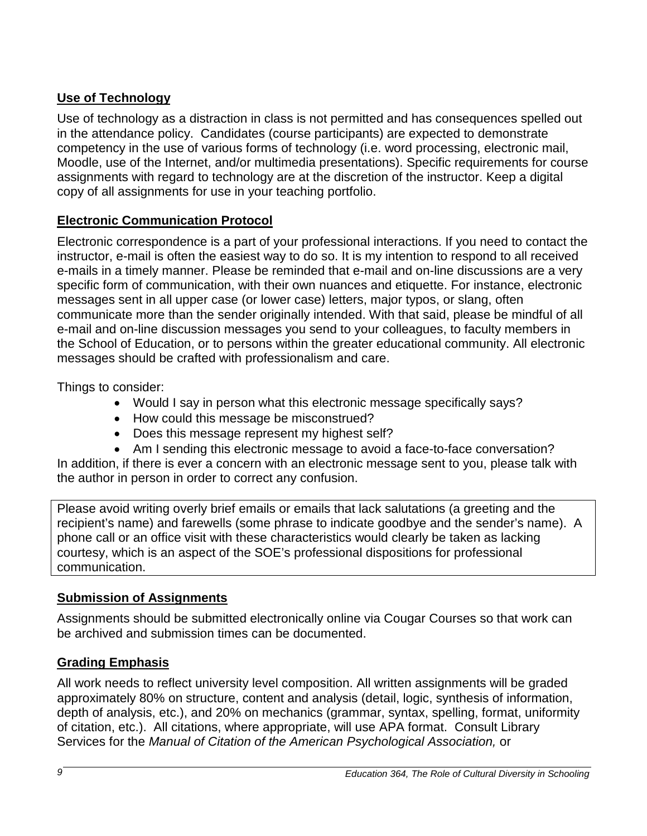## <span id="page-8-0"></span>**Use of Technology**

Use of technology as a distraction in class is not permitted and has consequences spelled out in the attendance policy. Candidates (course participants) are expected to demonstrate competency in the use of various forms of technology (i.e. word processing, electronic mail, Moodle, use of the Internet, and/or multimedia presentations). Specific requirements for course assignments with regard to technology are at the discretion of the instructor. Keep a digital copy of all assignments for use in your teaching portfolio.

## <span id="page-8-1"></span>**Electronic Communication Protocol**

Electronic correspondence is a part of your professional interactions. If you need to contact the instructor, e-mail is often the easiest way to do so. It is my intention to respond to all received e-mails in a timely manner. Please be reminded that e-mail and on-line discussions are a very specific form of communication, with their own nuances and etiquette. For instance, electronic messages sent in all upper case (or lower case) letters, major typos, or slang, often communicate more than the sender originally intended. With that said, please be mindful of all e-mail and on-line discussion messages you send to your colleagues, to faculty members in the School of Education, or to persons within the greater educational community. All electronic messages should be crafted with professionalism and care.

Things to consider:

- Would I say in person what this electronic message specifically says?
- How could this message be misconstrued?
- Does this message represent my highest self?
- Am I sending this electronic message to avoid a face-to-face conversation?

In addition, if there is ever a concern with an electronic message sent to you, please talk with the author in person in order to correct any confusion.

Please avoid writing overly brief emails or emails that lack salutations (a greeting and the recipient's name) and farewells (some phrase to indicate goodbye and the sender's name). A phone call or an office visit with these characteristics would clearly be taken as lacking courtesy, which is an aspect of the SOE's professional dispositions for professional communication.

## <span id="page-8-2"></span>**Submission of Assignments**

Assignments should be submitted electronically online via Cougar Courses so that work can be archived and submission times can be documented.

## <span id="page-8-3"></span>**Grading Emphasis**

All work needs to reflect university level composition. All written assignments will be graded approximately 80% on structure, content and analysis (detail, logic, synthesis of information, depth of analysis, etc.), and 20% on mechanics (grammar, syntax, spelling, format, uniformity of citation, etc.). All citations, where appropriate, will use APA format. Consult Library Services for the *Manual of Citation of the American Psychological Association,* or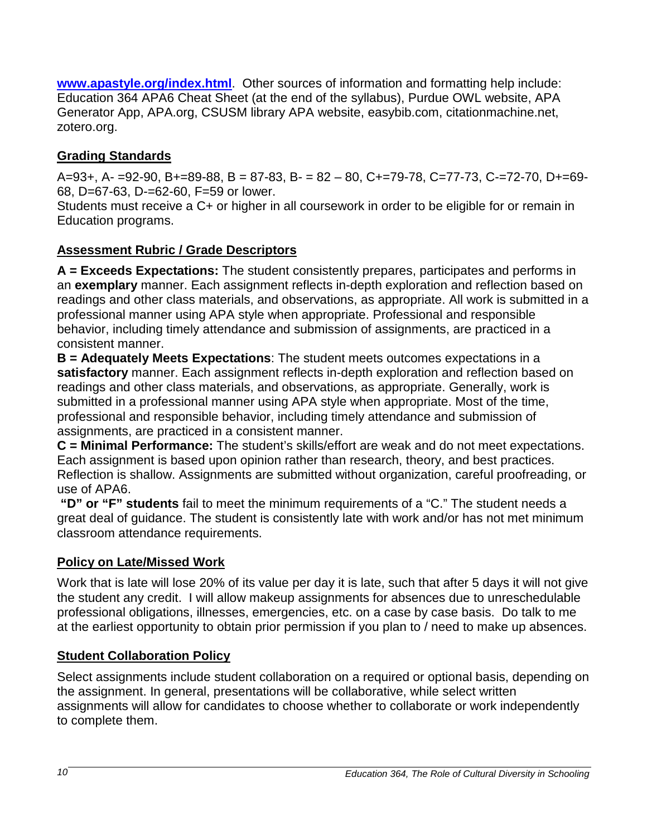**[www.apastyle.org/index.html](http://www.apastyle.org/index.html)**. Other sources of information and formatting help include: Education 364 APA6 Cheat Sheet (at the end of the syllabus), Purdue OWL website, APA Generator App, APA.org, CSUSM library APA website, easybib.com, citationmachine.net, zotero.org.

# <span id="page-9-0"></span>**Grading Standards**

 $A=93+, A=-92-90, B=-89-88, B=87-83, B=-82-80, C=-79-78, C=-77-73, C=-72-70, D=-69-75$ 68, D=67-63, D-=62-60, F=59 or lower.

Students must receive a C+ or higher in all coursework in order to be eligible for or remain in Education programs.

## <span id="page-9-1"></span>**Assessment Rubric / Grade Descriptors**

**A = Exceeds Expectations:** The student consistently prepares, participates and performs in an **exemplary** manner. Each assignment reflects in-depth exploration and reflection based on readings and other class materials, and observations, as appropriate. All work is submitted in a professional manner using APA style when appropriate. Professional and responsible behavior, including timely attendance and submission of assignments, are practiced in a consistent manner.

**B = Adequately Meets Expectations**: The student meets outcomes expectations in a **satisfactory** manner. Each assignment reflects in-depth exploration and reflection based on readings and other class materials, and observations, as appropriate. Generally, work is submitted in a professional manner using APA style when appropriate. Most of the time, professional and responsible behavior, including timely attendance and submission of assignments, are practiced in a consistent manner.

**C = Minimal Performance:** The student's skills/effort are weak and do not meet expectations. Each assignment is based upon opinion rather than research, theory, and best practices. Reflection is shallow. Assignments are submitted without organization, careful proofreading, or use of APA6.

**"D" or "F" students** fail to meet the minimum requirements of a "C." The student needs a great deal of guidance. The student is consistently late with work and/or has not met minimum classroom attendance requirements.

# <span id="page-9-2"></span>**Policy on Late/Missed Work**

Work that is late will lose 20% of its value per day it is late, such that after 5 days it will not give the student any credit. I will allow makeup assignments for absences due to unreschedulable professional obligations, illnesses, emergencies, etc. on a case by case basis. Do talk to me at the earliest opportunity to obtain prior permission if you plan to / need to make up absences.

## <span id="page-9-3"></span>**Student Collaboration Policy**

Select assignments include student collaboration on a required or optional basis, depending on the assignment. In general, presentations will be collaborative, while select written assignments will allow for candidates to choose whether to collaborate or work independently to complete them.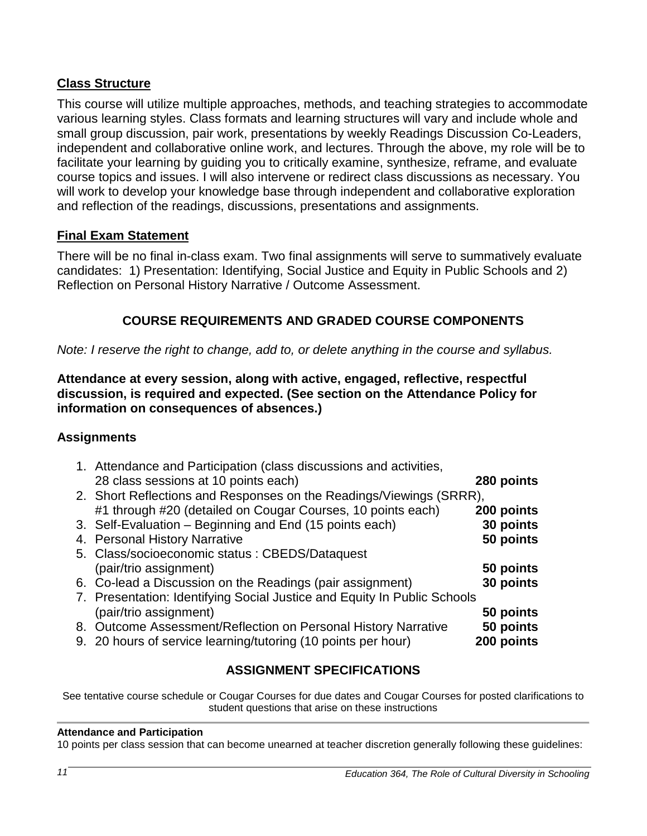## <span id="page-10-0"></span>**Class Structure**

This course will utilize multiple approaches, methods, and teaching strategies to accommodate various learning styles. Class formats and learning structures will vary and include whole and small group discussion, pair work, presentations by weekly Readings Discussion Co-Leaders, independent and collaborative online work, and lectures. Through the above, my role will be to facilitate your learning by guiding you to critically examine, synthesize, reframe, and evaluate course topics and issues. I will also intervene or redirect class discussions as necessary. You will work to develop your knowledge base through independent and collaborative exploration and reflection of the readings, discussions, presentations and assignments.

### <span id="page-10-1"></span>**Final Exam Statement**

There will be no final in-class exam. Two final assignments will serve to summatively evaluate candidates: 1) Presentation: Identifying, Social Justice and Equity in Public Schools and 2) Reflection on Personal History Narrative / Outcome Assessment.

## **COURSE REQUIREMENTS AND GRADED COURSE COMPONENTS**

<span id="page-10-2"></span>*Note: I reserve the right to change, add to, or delete anything in the course and syllabus.*

### **Attendance at every session, along with active, engaged, reflective, respectful discussion, is required and expected. (See section on the Attendance Policy for information on consequences of absences.)**

### **Assignments**

| 1. Attendance and Participation (class discussions and activities,       |            |
|--------------------------------------------------------------------------|------------|
| 28 class sessions at 10 points each)                                     | 280 points |
| 2. Short Reflections and Responses on the Readings/Viewings (SRRR),      |            |
| #1 through #20 (detailed on Cougar Courses, 10 points each)              | 200 points |
| 3. Self-Evaluation – Beginning and End (15 points each)                  | 30 points  |
| 4. Personal History Narrative                                            | 50 points  |
| 5. Class/socioeconomic status : CBEDS/Dataquest                          |            |
| (pair/trio assignment)                                                   | 50 points  |
| 6. Co-lead a Discussion on the Readings (pair assignment)                | 30 points  |
| 7. Presentation: Identifying Social Justice and Equity In Public Schools |            |
| (pair/trio assignment)                                                   | 50 points  |
| 8. Outcome Assessment/Reflection on Personal History Narrative           | 50 points  |
| 9. 20 hours of service learning/tutoring (10 points per hour)            | 200 points |

## **ASSIGNMENT SPECIFICATIONS**

See tentative course schedule or Cougar Courses for due dates and Cougar Courses for posted clarifications to student questions that arise on these instructions

### **Attendance and Participation**

10 points per class session that can become unearned at teacher discretion generally following these guidelines: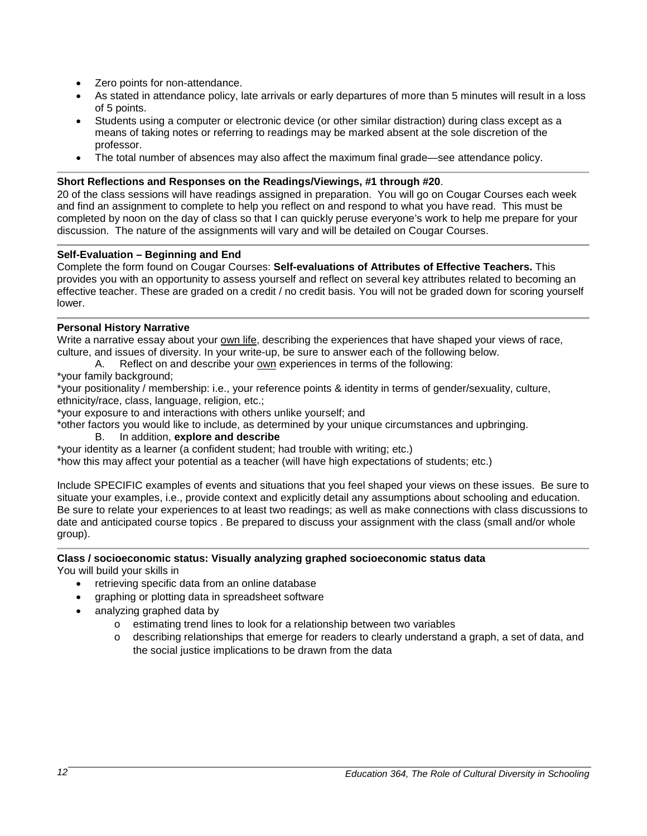- Zero points for non-attendance.
- As stated in attendance policy, late arrivals or early departures of more than 5 minutes will result in a loss of 5 points.
- Students using a computer or electronic device (or other similar distraction) during class except as a means of taking notes or referring to readings may be marked absent at the sole discretion of the professor.
- The total number of absences may also affect the maximum final grade—see attendance policy.

### **Short Reflections and Responses on the Readings/Viewings, #1 through #20**.

20 of the class sessions will have readings assigned in preparation. You will go on Cougar Courses each week and find an assignment to complete to help you reflect on and respond to what you have read. This must be completed by noon on the day of class so that I can quickly peruse everyone's work to help me prepare for your discussion. The nature of the assignments will vary and will be detailed on Cougar Courses.

### **Self-Evaluation – Beginning and End**

Complete the form found on Cougar Courses: **Self-evaluations of Attributes of Effective Teachers.** This provides you with an opportunity to assess yourself and reflect on several key attributes related to becoming an effective teacher. These are graded on a credit / no credit basis. You will not be graded down for scoring yourself lower.

### **Personal History Narrative**

Write a narrative essay about your own life, describing the experiences that have shaped your views of race, culture, and issues of diversity. In your write-up, be sure to answer each of the following below.

- A. Reflect on and describe your own experiences in terms of the following:
- \*your family background;

\*your positionality / membership: i.e., your reference points & identity in terms of gender/sexuality, culture, ethnicity/race, class, language, religion, etc.;

\*your exposure to and interactions with others unlike yourself; and

\*other factors you would like to include, as determined by your unique circumstances and upbringing.

#### B. In addition, **explore and describe**

\*your identity as a learner (a confident student; had trouble with writing; etc.)

\*how this may affect your potential as a teacher (will have high expectations of students; etc.)

Include SPECIFIC examples of events and situations that you feel shaped your views on these issues. Be sure to situate your examples, i.e., provide context and explicitly detail any assumptions about schooling and education. Be sure to relate your experiences to at least two readings; as well as make connections with class discussions to date and anticipated course topics . Be prepared to discuss your assignment with the class (small and/or whole group).

#### **Class / socioeconomic status: Visually analyzing graphed socioeconomic status data** You will build your skills in

- retrieving specific data from an online database
- graphing or plotting data in spreadsheet software
- analyzing graphed data by
	- o estimating trend lines to look for a relationship between two variables
	- o describing relationships that emerge for readers to clearly understand a graph, a set of data, and the social justice implications to be drawn from the data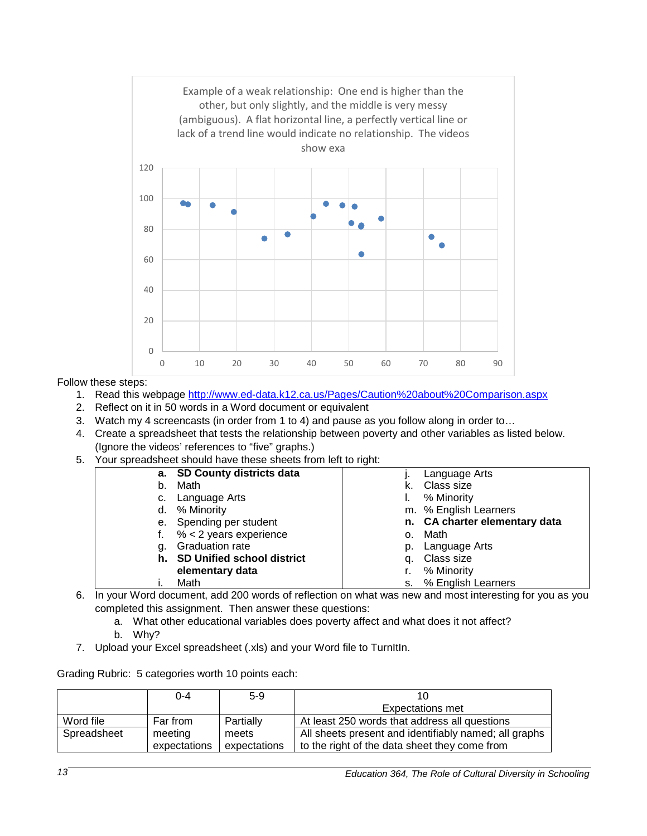

Follow these steps:

- 1. Read this webpage<http://www.ed-data.k12.ca.us/Pages/Caution%20about%20Comparison.aspx>
- 2. Reflect on it in 50 words in a Word document or equivalent
- 3. Watch my 4 screencasts (in order from 1 to 4) and pause as you follow along in order to…
- 4. Create a spreadsheet that tests the relationship between poverty and other variables as listed below. (Ignore the videos' references to "five" graphs.)
- 5. Your spreadsheet should have these sheets from left to right:

|    | a. SD County districts data   |    | Language Arts                 |
|----|-------------------------------|----|-------------------------------|
| b. | Math                          |    | Class size                    |
|    | c. Language Arts              |    | % Minority                    |
|    | d. % Minority                 |    | m. % English Learners         |
|    | e. Spending per student       |    | n. CA charter elementary data |
|    | $% < 2$ years experience      | 0. | Math                          |
| g. | <b>Graduation rate</b>        |    | p. Language Arts              |
|    | h. SD Unified school district |    | q. Class size                 |
|    | elementary data               |    | % Minority                    |
|    | Math                          |    | s. % English Learners         |

- 6. In your Word document, add 200 words of reflection on what was new and most interesting for you as you completed this assignment. Then answer these questions:
	- a. What other educational variables does poverty affect and what does it not affect?
	- b. Why?
- 7. Upload your Excel spreadsheet (.xls) and your Word file to TurnItIn.

Grading Rubric: 5 categories worth 10 points each:

|             | $0 - 4$      | $5-9$        |                                                       |
|-------------|--------------|--------------|-------------------------------------------------------|
|             |              |              | <b>Expectations met</b>                               |
| Word file   | Far from     | Partially    | At least 250 words that address all questions         |
| Spreadsheet | meeting      | meets        | All sheets present and identifiably named; all graphs |
|             | expectations | expectations | to the right of the data sheet they come from         |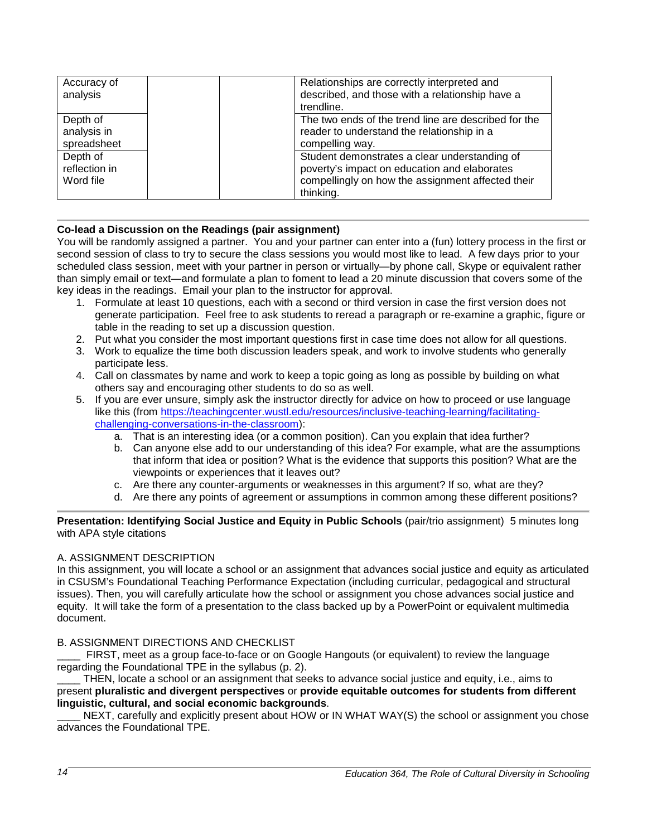| Accuracy of<br>analysis                | Relationships are correctly interpreted and<br>described, and those with a relationship have a<br>trendline.                                                    |
|----------------------------------------|-----------------------------------------------------------------------------------------------------------------------------------------------------------------|
| Depth of<br>analysis in<br>spreadsheet | The two ends of the trend line are described for the<br>reader to understand the relationship in a<br>compelling way.                                           |
| Depth of<br>reflection in<br>Word file | Student demonstrates a clear understanding of<br>poverty's impact on education and elaborates<br>compellingly on how the assignment affected their<br>thinking. |

### **Co-lead a Discussion on the Readings (pair assignment)**

You will be randomly assigned a partner. You and your partner can enter into a (fun) lottery process in the first or second session of class to try to secure the class sessions you would most like to lead. A few days prior to your scheduled class session, meet with your partner in person or virtually—by phone call, Skype or equivalent rather than simply email or text—and formulate a plan to foment to lead a 20 minute discussion that covers some of the key ideas in the readings. Email your plan to the instructor for approval.

- 1. Formulate at least 10 questions, each with a second or third version in case the first version does not generate participation. Feel free to ask students to reread a paragraph or re-examine a graphic, figure or table in the reading to set up a discussion question.
- 2. Put what you consider the most important questions first in case time does not allow for all questions.
- 3. Work to equalize the time both discussion leaders speak, and work to involve students who generally participate less.
- 4. Call on classmates by name and work to keep a topic going as long as possible by building on what others say and encouraging other students to do so as well.
- 5. If you are ever unsure, simply ask the instructor directly for advice on how to proceed or use language like this (from [https://teachingcenter.wustl.edu/resources/inclusive-teaching-learning/facilitating](https://teachingcenter.wustl.edu/resources/inclusive-teaching-learning/facilitating-challenging-conversations-in-the-classroom)[challenging-conversations-in-the-classroom\)](https://teachingcenter.wustl.edu/resources/inclusive-teaching-learning/facilitating-challenging-conversations-in-the-classroom):
	- a. That is an interesting idea (or a common position). Can you explain that idea further?
	- b. Can anyone else add to our understanding of this idea? For example, what are the assumptions that inform that idea or position? What is the evidence that supports this position? What are the viewpoints or experiences that it leaves out?
	- c. Are there any counter-arguments or weaknesses in this argument? If so, what are they?
	- d. Are there any points of agreement or assumptions in common among these different positions?

### **Presentation: Identifying Social Justice and Equity in Public Schools** (pair/trio assignment) 5 minutes long with APA style citations

### A. ASSIGNMENT DESCRIPTION

In this assignment, you will locate a school or an assignment that advances social justice and equity as articulated in CSUSM's Foundational Teaching Performance Expectation (including curricular, pedagogical and structural issues). Then, you will carefully articulate how the school or assignment you chose advances social justice and equity. It will take the form of a presentation to the class backed up by a PowerPoint or equivalent multimedia document.

### B. ASSIGNMENT DIRECTIONS AND CHECKLIST

FIRST, meet as a group face-to-face or on Google Hangouts (or equivalent) to review the language regarding the Foundational TPE in the syllabus (p. 2).

THEN, locate a school or an assignment that seeks to advance social justice and equity, i.e., aims to present **pluralistic and divergent perspectives** or **provide equitable outcomes for students from different linguistic, cultural, and social economic backgrounds**.

NEXT, carefully and explicitly present about HOW or IN WHAT WAY(S) the school or assignment you chose advances the Foundational TPE.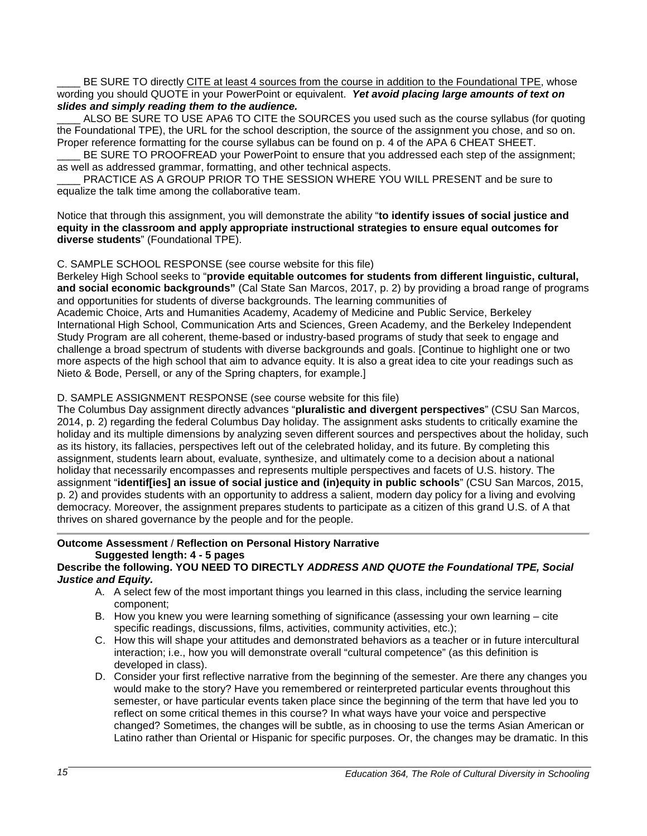BE SURE TO directly CITE at least 4 sources from the course in addition to the Foundational TPE, whose wording you should QUOTE in your PowerPoint or equivalent. *Yet avoid placing large amounts of text on slides and simply reading them to the audience.*

ALSO BE SURE TO USE APA6 TO CITE the SOURCES you used such as the course syllabus (for quoting the Foundational TPE), the URL for the school description, the source of the assignment you chose, and so on. Proper reference formatting for the course syllabus can be found on p. 4 of the APA 6 CHEAT SHEET.

BE SURE TO PROOFREAD your PowerPoint to ensure that you addressed each step of the assignment; as well as addressed grammar, formatting, and other technical aspects.

PRACTICE AS A GROUP PRIOR TO THE SESSION WHERE YOU WILL PRESENT and be sure to equalize the talk time among the collaborative team.

Notice that through this assignment, you will demonstrate the ability "**to identify issues of social justice and equity in the classroom and apply appropriate instructional strategies to ensure equal outcomes for diverse students**" (Foundational TPE).

### C. SAMPLE SCHOOL RESPONSE (see course website for this file)

Berkeley High School seeks to "**provide equitable outcomes for students from different linguistic, cultural, and social economic backgrounds"** (Cal State San Marcos, 2017, p. 2) by providing a broad range of programs and opportunities for students of diverse backgrounds. The learning communities of

Academic Choice, Arts and Humanities Academy, Academy of Medicine and Public Service, Berkeley International High School, Communication Arts and Sciences, Green Academy, and the Berkeley Independent Study Program are all coherent, theme-based or industry-based programs of study that seek to engage and challenge a broad spectrum of students with diverse backgrounds and goals. [Continue to highlight one or two more aspects of the high school that aim to advance equity. It is also a great idea to cite your readings such as Nieto & Bode, Persell, or any of the Spring chapters, for example.]

### D. SAMPLE ASSIGNMENT RESPONSE (see course website for this file)

The Columbus Day assignment directly advances "**pluralistic and divergent perspectives**" (CSU San Marcos, 2014, p. 2) regarding the federal Columbus Day holiday. The assignment asks students to critically examine the holiday and its multiple dimensions by analyzing seven different sources and perspectives about the holiday, such as its history, its fallacies, perspectives left out of the celebrated holiday, and its future. By completing this assignment, students learn about, evaluate, synthesize, and ultimately come to a decision about a national holiday that necessarily encompasses and represents multiple perspectives and facets of U.S. history. The assignment "**identif[ies] an issue of social justice and (in)equity in public schools**" (CSU San Marcos, 2015, p. 2) and provides students with an opportunity to address a salient, modern day policy for a living and evolving democracy. Moreover, the assignment prepares students to participate as a citizen of this grand U.S. of A that thrives on shared governance by the people and for the people.

### **Outcome Assessment** / **Reflection on Personal History Narrative Suggested length: 4 - 5 pages**

### **Describe the following. YOU NEED TO DIRECTLY** *ADDRESS AND QUOTE the Foundational TPE, Social Justice and Equity.*

- A. A select few of the most important things you learned in this class, including the service learning component;
- B. How you knew you were learning something of significance (assessing your own learning cite specific readings, discussions, films, activities, community activities, etc.);
- C. How this will shape your attitudes and demonstrated behaviors as a teacher or in future intercultural interaction; i.e., how you will demonstrate overall "cultural competence" (as this definition is developed in class).
- D. Consider your first reflective narrative from the beginning of the semester. Are there any changes you would make to the story? Have you remembered or reinterpreted particular events throughout this semester, or have particular events taken place since the beginning of the term that have led you to reflect on some critical themes in this course? In what ways have your voice and perspective changed? Sometimes, the changes will be subtle, as in choosing to use the terms Asian American or Latino rather than Oriental or Hispanic for specific purposes. Or, the changes may be dramatic. In this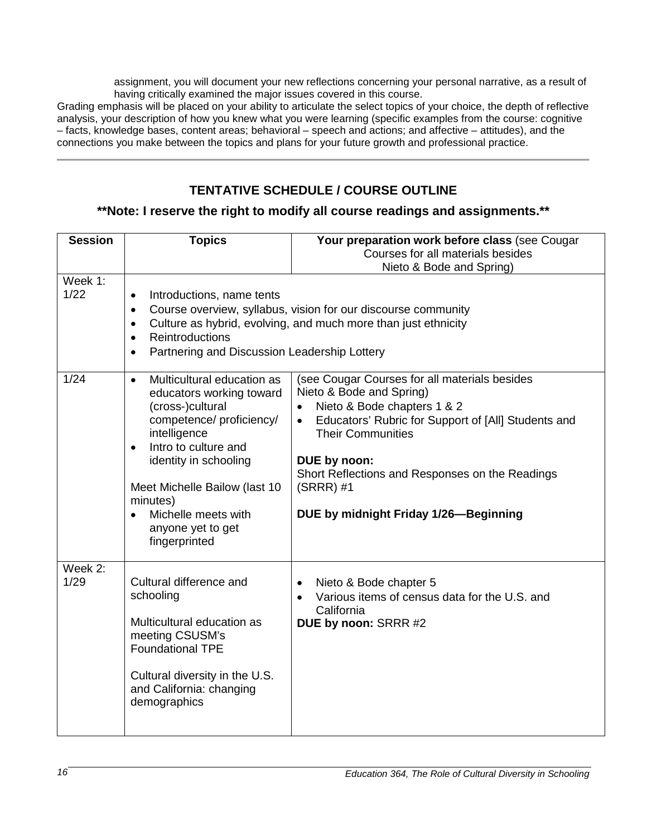assignment, you will document your new reflections concerning your personal narrative, as a result of having critically examined the major issues covered in this course.

Grading emphasis will be placed on your ability to articulate the select topics of your choice, the depth of reflective analysis, your description of how you knew what you were learning (specific examples from the course: cognitive – facts, knowledge bases, content areas; behavioral – speech and actions; and affective – attitudes), and the connections you make between the topics and plans for your future growth and professional practice.

# **TENTATIVE SCHEDULE / COURSE OUTLINE**

### <span id="page-15-0"></span>**\*\*Note: I reserve the right to modify all course readings and assignments.\*\***

| <b>Session</b>  | <b>Topics</b>                                                                                                                                                                                                                                                                                                            | Your preparation work before class (see Cougar                                                                                                                                                                                                                                                                         |
|-----------------|--------------------------------------------------------------------------------------------------------------------------------------------------------------------------------------------------------------------------------------------------------------------------------------------------------------------------|------------------------------------------------------------------------------------------------------------------------------------------------------------------------------------------------------------------------------------------------------------------------------------------------------------------------|
|                 |                                                                                                                                                                                                                                                                                                                          | Courses for all materials besides                                                                                                                                                                                                                                                                                      |
|                 |                                                                                                                                                                                                                                                                                                                          | Nieto & Bode and Spring)                                                                                                                                                                                                                                                                                               |
| Week 1:<br>1/22 | Introductions, name tents<br>$\bullet$<br>$\bullet$<br>$\bullet$<br><b>Reintroductions</b><br>$\bullet$<br>Partnering and Discussion Leadership Lottery<br>$\bullet$                                                                                                                                                     | Course overview, syllabus, vision for our discourse community<br>Culture as hybrid, evolving, and much more than just ethnicity                                                                                                                                                                                        |
| 1/24            | Multicultural education as<br>$\bullet$<br>educators working toward<br>(cross-)cultural<br>competence/ proficiency/<br>intelligence<br>Intro to culture and<br>$\bullet$<br>identity in schooling<br>Meet Michelle Bailow (last 10<br>minutes)<br>Michelle meets with<br>$\bullet$<br>anyone yet to get<br>fingerprinted | (see Cougar Courses for all materials besides<br>Nieto & Bode and Spring)<br>Nieto & Bode chapters 1 & 2<br>Educators' Rubric for Support of [All] Students and<br><b>Their Communities</b><br>DUE by noon:<br>Short Reflections and Responses on the Readings<br>$(SRRR)$ #1<br>DUE by midnight Friday 1/26-Beginning |
| Week 2:<br>1/29 | Cultural difference and<br>schooling<br>Multicultural education as<br>meeting CSUSM's<br><b>Foundational TPE</b><br>Cultural diversity in the U.S.<br>and California: changing<br>demographics                                                                                                                           | Nieto & Bode chapter 5<br>$\bullet$<br>Various items of census data for the U.S. and<br>California<br>DUE by noon: SRRR #2                                                                                                                                                                                             |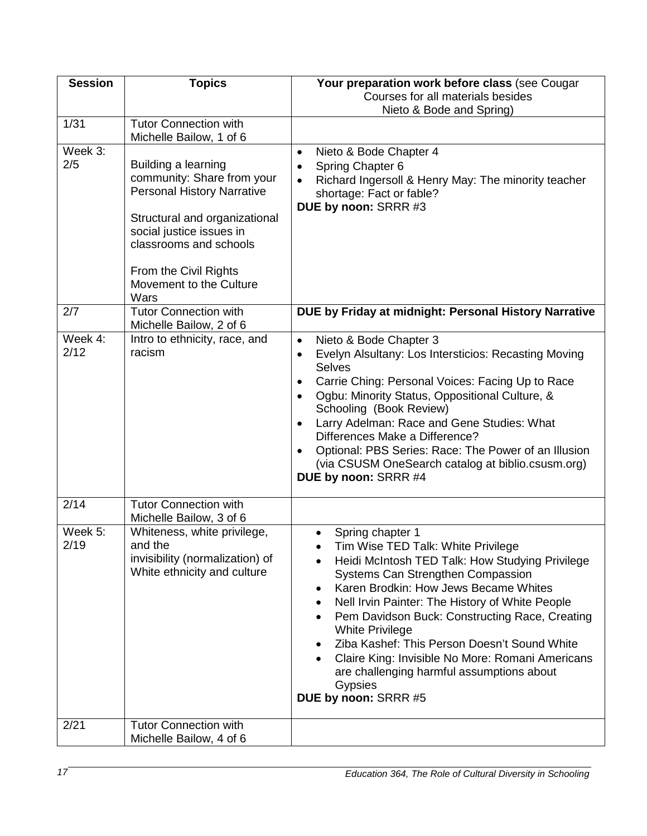| <b>Session</b>  | <b>Topics</b>                                                                                                                                                                                                                             | Your preparation work before class (see Cougar                                                                                                                                                                                                                                                                                                                                                                                                                                                                         |
|-----------------|-------------------------------------------------------------------------------------------------------------------------------------------------------------------------------------------------------------------------------------------|------------------------------------------------------------------------------------------------------------------------------------------------------------------------------------------------------------------------------------------------------------------------------------------------------------------------------------------------------------------------------------------------------------------------------------------------------------------------------------------------------------------------|
|                 |                                                                                                                                                                                                                                           | Courses for all materials besides<br>Nieto & Bode and Spring)                                                                                                                                                                                                                                                                                                                                                                                                                                                          |
| 1/31            | <b>Tutor Connection with</b><br>Michelle Bailow, 1 of 6                                                                                                                                                                                   |                                                                                                                                                                                                                                                                                                                                                                                                                                                                                                                        |
| Week 3:         |                                                                                                                                                                                                                                           | Nieto & Bode Chapter 4<br>$\bullet$                                                                                                                                                                                                                                                                                                                                                                                                                                                                                    |
| 2/5             | Building a learning<br>community: Share from your<br><b>Personal History Narrative</b><br>Structural and organizational<br>social justice issues in<br>classrooms and schools<br>From the Civil Rights<br>Movement to the Culture<br>Wars | Spring Chapter 6<br>$\bullet$<br>Richard Ingersoll & Henry May: The minority teacher<br>shortage: Fact or fable?<br>DUE by noon: SRRR #3                                                                                                                                                                                                                                                                                                                                                                               |
| 2/7             | <b>Tutor Connection with</b><br>Michelle Bailow, 2 of 6                                                                                                                                                                                   | DUE by Friday at midnight: Personal History Narrative                                                                                                                                                                                                                                                                                                                                                                                                                                                                  |
| Week 4:<br>2/12 | Intro to ethnicity, race, and<br>racism                                                                                                                                                                                                   | Nieto & Bode Chapter 3<br>$\bullet$<br>Evelyn Alsultany: Los Intersticios: Recasting Moving<br>$\bullet$<br><b>Selves</b><br>Carrie Ching: Personal Voices: Facing Up to Race<br>$\bullet$<br>Ogbu: Minority Status, Oppositional Culture, &<br>Schooling (Book Review)<br>Larry Adelman: Race and Gene Studies: What<br>$\bullet$<br>Differences Make a Difference?<br>Optional: PBS Series: Race: The Power of an Illusion<br>$\bullet$<br>(via CSUSM OneSearch catalog at biblio.csusm.org)<br>DUE by noon: SRRR #4 |
| 2/14            | <b>Tutor Connection with</b><br>Michelle Bailow, 3 of 6                                                                                                                                                                                   |                                                                                                                                                                                                                                                                                                                                                                                                                                                                                                                        |
| Week 5:<br>2/19 | Whiteness, white privilege,<br>and the<br>invisibility (normalization) of<br>White ethnicity and culture                                                                                                                                  | Spring chapter 1<br>Tim Wise TED Talk: White Privilege<br>Heidi McIntosh TED Talk: How Studying Privilege<br>Systems Can Strengthen Compassion<br>Karen Brodkin: How Jews Became Whites<br>Nell Irvin Painter: The History of White People<br>Pem Davidson Buck: Constructing Race, Creating<br><b>White Privilege</b><br>Ziba Kashef: This Person Doesn't Sound White<br>Claire King: Invisible No More: Romani Americans<br>are challenging harmful assumptions about<br>Gypsies<br>DUE by noon: SRRR #5             |
| 2/21            | <b>Tutor Connection with</b><br>Michelle Bailow, 4 of 6                                                                                                                                                                                   |                                                                                                                                                                                                                                                                                                                                                                                                                                                                                                                        |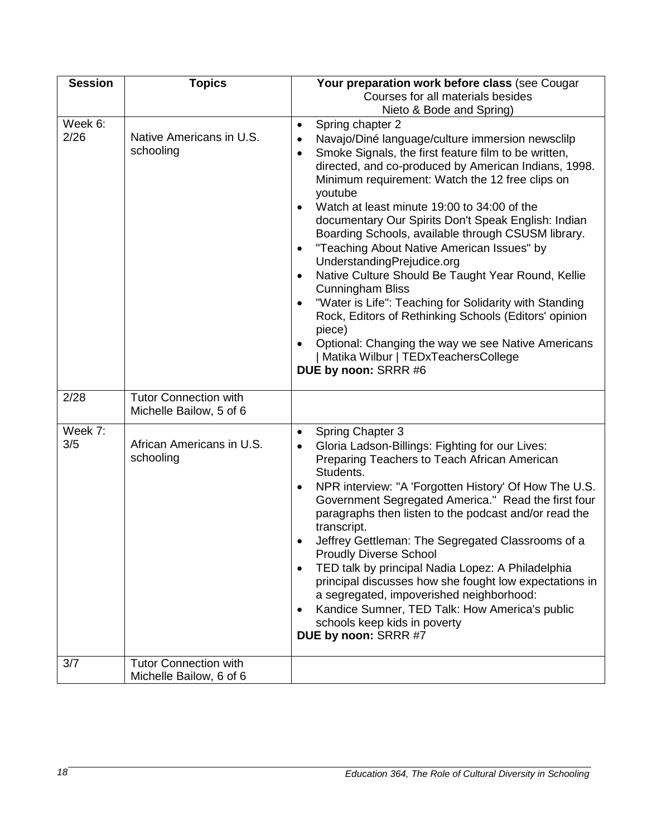| <b>Session</b>  | <b>Topics</b>                                           | Your preparation work before class (see Cougar                                                                                                                                                                                                                                                                                                                                                                                                                                                                                                                                                                                                                                                                                                                                                                                                                                                                  |
|-----------------|---------------------------------------------------------|-----------------------------------------------------------------------------------------------------------------------------------------------------------------------------------------------------------------------------------------------------------------------------------------------------------------------------------------------------------------------------------------------------------------------------------------------------------------------------------------------------------------------------------------------------------------------------------------------------------------------------------------------------------------------------------------------------------------------------------------------------------------------------------------------------------------------------------------------------------------------------------------------------------------|
|                 |                                                         | Courses for all materials besides                                                                                                                                                                                                                                                                                                                                                                                                                                                                                                                                                                                                                                                                                                                                                                                                                                                                               |
| Week 6:<br>2/26 | Native Americans in U.S.<br>schooling                   | Nieto & Bode and Spring)<br>Spring chapter 2<br>$\bullet$<br>Navajo/Diné language/culture immersion newsclilp<br>$\bullet$<br>Smoke Signals, the first feature film to be written,<br>$\bullet$<br>directed, and co-produced by American Indians, 1998.<br>Minimum requirement: Watch the 12 free clips on<br>youtube<br>Watch at least minute 19:00 to 34:00 of the<br>documentary Our Spirits Don't Speak English: Indian<br>Boarding Schools, available through CSUSM library.<br>"Teaching About Native American Issues" by<br>$\bullet$<br>UnderstandingPrejudice.org<br>Native Culture Should Be Taught Year Round, Kellie<br><b>Cunningham Bliss</b><br>"Water is Life": Teaching for Solidarity with Standing<br>Rock, Editors of Rethinking Schools (Editors' opinion<br>piece)<br>Optional: Changing the way we see Native Americans<br>  Matika Wilbur   TEDxTeachersCollege<br>DUE by noon: SRRR #6 |
| 2/28            | <b>Tutor Connection with</b><br>Michelle Bailow, 5 of 6 |                                                                                                                                                                                                                                                                                                                                                                                                                                                                                                                                                                                                                                                                                                                                                                                                                                                                                                                 |
| Week 7:<br>3/5  | African Americans in U.S.<br>schooling                  | <b>Spring Chapter 3</b><br>$\bullet$<br>Gloria Ladson-Billings: Fighting for our Lives:<br>$\bullet$<br>Preparing Teachers to Teach African American<br>Students.<br>NPR interview: "A 'Forgotten History' Of How The U.S.<br>$\bullet$<br>Government Segregated America." Read the first four<br>paragraphs then listen to the podcast and/or read the<br>transcript.<br>Jeffrey Gettleman: The Segregated Classrooms of a<br><b>Proudly Diverse School</b><br>TED talk by principal Nadia Lopez: A Philadelphia<br>principal discusses how she fought low expectations in<br>a segregated, impoverished neighborhood:<br>Kandice Sumner, TED Talk: How America's public<br>schools keep kids in poverty<br>DUE by noon: SRRR #7                                                                                                                                                                               |
| 3/7             | <b>Tutor Connection with</b><br>Michelle Bailow, 6 of 6 |                                                                                                                                                                                                                                                                                                                                                                                                                                                                                                                                                                                                                                                                                                                                                                                                                                                                                                                 |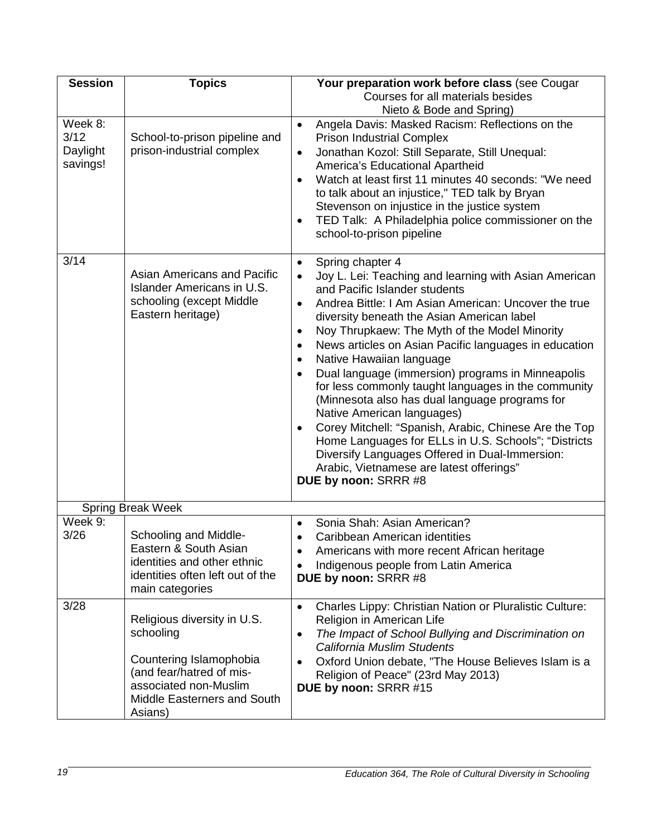| <b>Session</b>                          | <b>Topics</b>                                                                                                                                                      | Your preparation work before class (see Cougar                                                                                                                                                                                                                                                                                                                                                                                                                                                                                                                                                                                                                                                                                                                                                                                                                               |
|-----------------------------------------|--------------------------------------------------------------------------------------------------------------------------------------------------------------------|------------------------------------------------------------------------------------------------------------------------------------------------------------------------------------------------------------------------------------------------------------------------------------------------------------------------------------------------------------------------------------------------------------------------------------------------------------------------------------------------------------------------------------------------------------------------------------------------------------------------------------------------------------------------------------------------------------------------------------------------------------------------------------------------------------------------------------------------------------------------------|
|                                         |                                                                                                                                                                    | Courses for all materials besides                                                                                                                                                                                                                                                                                                                                                                                                                                                                                                                                                                                                                                                                                                                                                                                                                                            |
| Week 8:<br>3/12<br>Daylight<br>savings! | School-to-prison pipeline and<br>prison-industrial complex                                                                                                         | Nieto & Bode and Spring)<br>Angela Davis: Masked Racism: Reflections on the<br>$\bullet$<br><b>Prison Industrial Complex</b><br>Jonathan Kozol: Still Separate, Still Unequal:<br>$\bullet$<br>America's Educational Apartheid<br>Watch at least first 11 minutes 40 seconds: "We need<br>to talk about an injustice," TED talk by Bryan<br>Stevenson on injustice in the justice system<br>TED Talk: A Philadelphia police commissioner on the<br>$\bullet$<br>school-to-prison pipeline                                                                                                                                                                                                                                                                                                                                                                                    |
| 3/14                                    | <b>Asian Americans and Pacific</b><br>Islander Americans in U.S.<br>schooling (except Middle<br>Eastern heritage)                                                  | Spring chapter 4<br>$\bullet$<br>Joy L. Lei: Teaching and learning with Asian American<br>$\bullet$<br>and Pacific Islander students<br>Andrea Bittle: I Am Asian American: Uncover the true<br>٠<br>diversity beneath the Asian American label<br>Noy Thrupkaew: The Myth of the Model Minority<br>$\bullet$<br>News articles on Asian Pacific languages in education<br>$\bullet$<br>Native Hawaiian language<br>$\bullet$<br>Dual language (immersion) programs in Minneapolis<br>for less commonly taught languages in the community<br>(Minnesota also has dual language programs for<br>Native American languages)<br>Corey Mitchell: "Spanish, Arabic, Chinese Are the Top<br>$\bullet$<br>Home Languages for ELLs in U.S. Schools"; "Districts<br>Diversify Languages Offered in Dual-Immersion:<br>Arabic, Vietnamese are latest offerings"<br>DUE by noon: SRRR #8 |
|                                         | <b>Spring Break Week</b>                                                                                                                                           |                                                                                                                                                                                                                                                                                                                                                                                                                                                                                                                                                                                                                                                                                                                                                                                                                                                                              |
| Week 9:<br>3/26                         | Schooling and Middle-<br>Eastern & South Asian<br>identities and other ethnic<br>identities often left out of the<br>main categories                               | Sonia Shah: Asian American?<br>Caribbean American identities<br>Americans with more recent African heritage<br>Indigenous people from Latin America<br>$\bullet$<br>DUE by noon: SRRR #8                                                                                                                                                                                                                                                                                                                                                                                                                                                                                                                                                                                                                                                                                     |
| 3/28                                    | Religious diversity in U.S.<br>schooling<br>Countering Islamophobia<br>(and fear/hatred of mis-<br>associated non-Muslim<br>Middle Easterners and South<br>Asians) | Charles Lippy: Christian Nation or Pluralistic Culture:<br>$\bullet$<br>Religion in American Life<br>The Impact of School Bullying and Discrimination on<br>$\bullet$<br>California Muslim Students<br>Oxford Union debate, "The House Believes Islam is a<br>Religion of Peace" (23rd May 2013)<br>DUE by noon: SRRR #15                                                                                                                                                                                                                                                                                                                                                                                                                                                                                                                                                    |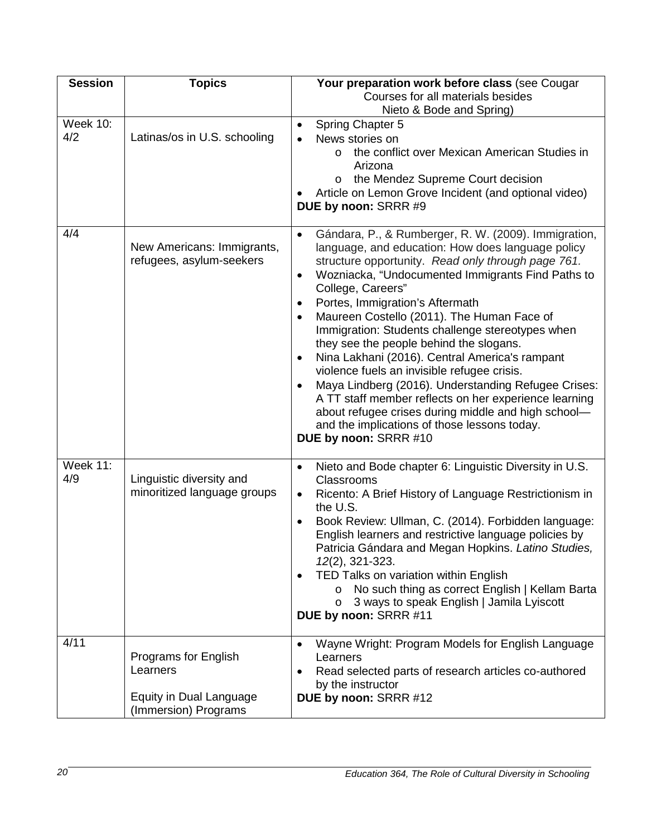| <b>Session</b>         | <b>Topics</b>                                                                       | Your preparation work before class (see Cougar                                                                                                                                                                                                                                                                                                                                                                                                                                                                                                                                                                                                                                                                                                                                                                         |
|------------------------|-------------------------------------------------------------------------------------|------------------------------------------------------------------------------------------------------------------------------------------------------------------------------------------------------------------------------------------------------------------------------------------------------------------------------------------------------------------------------------------------------------------------------------------------------------------------------------------------------------------------------------------------------------------------------------------------------------------------------------------------------------------------------------------------------------------------------------------------------------------------------------------------------------------------|
|                        |                                                                                     | Courses for all materials besides                                                                                                                                                                                                                                                                                                                                                                                                                                                                                                                                                                                                                                                                                                                                                                                      |
|                        |                                                                                     | Nieto & Bode and Spring)                                                                                                                                                                                                                                                                                                                                                                                                                                                                                                                                                                                                                                                                                                                                                                                               |
| <b>Week 10:</b><br>4/2 | Latinas/os in U.S. schooling                                                        | <b>Spring Chapter 5</b><br>$\bullet$<br>News stories on                                                                                                                                                                                                                                                                                                                                                                                                                                                                                                                                                                                                                                                                                                                                                                |
|                        |                                                                                     | the conflict over Mexican American Studies in<br>$\circ$<br>Arizona<br>the Mendez Supreme Court decision<br>$\circ$<br>Article on Lemon Grove Incident (and optional video)<br>DUE by noon: SRRR #9                                                                                                                                                                                                                                                                                                                                                                                                                                                                                                                                                                                                                    |
| 4/4                    | New Americans: Immigrants,<br>refugees, asylum-seekers                              | Gándara, P., & Rumberger, R. W. (2009). Immigration,<br>$\bullet$<br>language, and education: How does language policy<br>structure opportunity. Read only through page 761.<br>Wozniacka, "Undocumented Immigrants Find Paths to<br>$\bullet$<br>College, Careers"<br>Portes, Immigration's Aftermath<br>٠<br>Maureen Costello (2011). The Human Face of<br>$\bullet$<br>Immigration: Students challenge stereotypes when<br>they see the people behind the slogans.<br>Nina Lakhani (2016). Central America's rampant<br>violence fuels an invisible refugee crisis.<br>Maya Lindberg (2016). Understanding Refugee Crises:<br>A TT staff member reflects on her experience learning<br>about refugee crises during middle and high school-<br>and the implications of those lessons today.<br>DUE by noon: SRRR #10 |
| <b>Week 11:</b><br>4/9 | Linguistic diversity and<br>minoritized language groups                             | Nieto and Bode chapter 6: Linguistic Diversity in U.S.<br>$\bullet$<br>Classrooms<br>Ricento: A Brief History of Language Restrictionism in<br>$\bullet$<br>the U.S.<br>Book Review: Ullman, C. (2014). Forbidden language:<br>$\bullet$<br>English learners and restrictive language policies by<br>Patricia Gándara and Megan Hopkins. Latino Studies,<br>12(2), 321-323.<br>TED Talks on variation within English<br>No such thing as correct English   Kellam Barta<br>O<br>3 ways to speak English   Jamila Lyiscott<br>O<br>DUE by noon: SRRR #11                                                                                                                                                                                                                                                                |
| 4/11                   | Programs for English<br>Learners<br>Equity in Dual Language<br>(Immersion) Programs | Wayne Wright: Program Models for English Language<br>$\bullet$<br>Learners<br>Read selected parts of research articles co-authored<br>by the instructor<br>DUE by noon: SRRR #12                                                                                                                                                                                                                                                                                                                                                                                                                                                                                                                                                                                                                                       |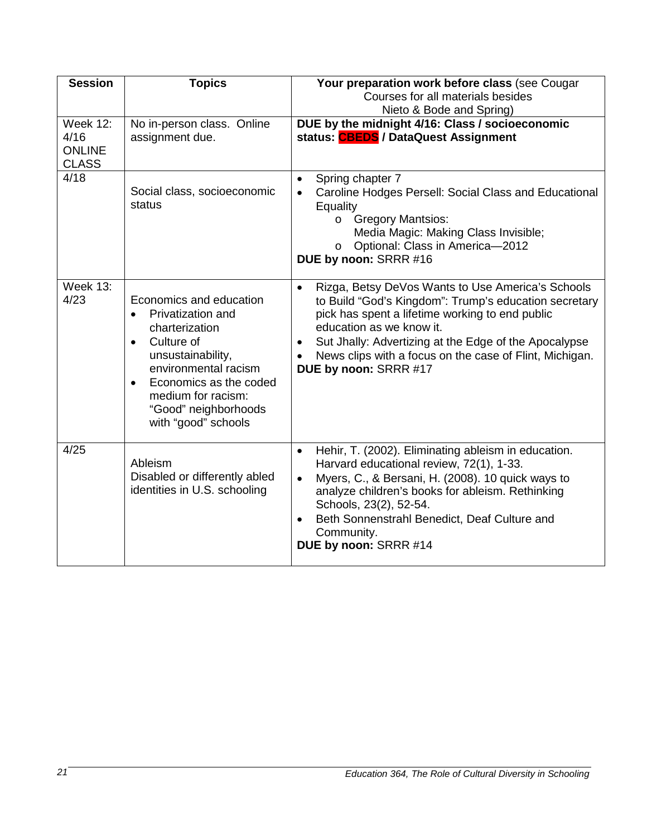| <b>Session</b>                                           | <b>Topics</b>                                                                                                                                                                                                                                                   | Your preparation work before class (see Cougar<br>Courses for all materials besides<br>Nieto & Bode and Spring)                                                                                                                                                                                                                                                  |
|----------------------------------------------------------|-----------------------------------------------------------------------------------------------------------------------------------------------------------------------------------------------------------------------------------------------------------------|------------------------------------------------------------------------------------------------------------------------------------------------------------------------------------------------------------------------------------------------------------------------------------------------------------------------------------------------------------------|
| <b>Week 12:</b><br>4/16<br><b>ONLINE</b><br><b>CLASS</b> | No in-person class. Online<br>assignment due.                                                                                                                                                                                                                   | DUE by the midnight 4/16: Class / socioeconomic<br>status: CBEDS / DataQuest Assignment                                                                                                                                                                                                                                                                          |
| 4/18                                                     | Social class, socioeconomic<br>status                                                                                                                                                                                                                           | Spring chapter 7<br>$\bullet$<br>Caroline Hodges Persell: Social Class and Educational<br>$\bullet$<br>Equality<br><b>Gregory Mantsios:</b><br>$\circ$<br>Media Magic: Making Class Invisible;<br>Optional: Class in America-2012<br>$\circ$<br>DUE by noon: SRRR #16                                                                                            |
| <b>Week 13:</b><br>4/23                                  | Economics and education<br>Privatization and<br>$\bullet$<br>charterization<br>Culture of<br>$\bullet$<br>unsustainability,<br>environmental racism<br>Economics as the coded<br>$\bullet$<br>medium for racism:<br>"Good" neighborhoods<br>with "good" schools | Rizga, Betsy DeVos Wants to Use America's Schools<br>$\bullet$<br>to Build "God's Kingdom": Trump's education secretary<br>pick has spent a lifetime working to end public<br>education as we know it.<br>Sut Jhally: Advertizing at the Edge of the Apocalypse<br>$\bullet$<br>News clips with a focus on the case of Flint, Michigan.<br>DUE by noon: SRRR #17 |
| 4/25                                                     | Ableism<br>Disabled or differently abled<br>identities in U.S. schooling                                                                                                                                                                                        | Hehir, T. (2002). Eliminating ableism in education.<br>$\bullet$<br>Harvard educational review, 72(1), 1-33.<br>Myers, C., & Bersani, H. (2008). 10 quick ways to<br>$\bullet$<br>analyze children's books for ableism. Rethinking<br>Schools, 23(2), 52-54.<br>Beth Sonnenstrahl Benedict, Deaf Culture and<br>$\bullet$<br>Community.<br>DUE by noon: SRRR #14 |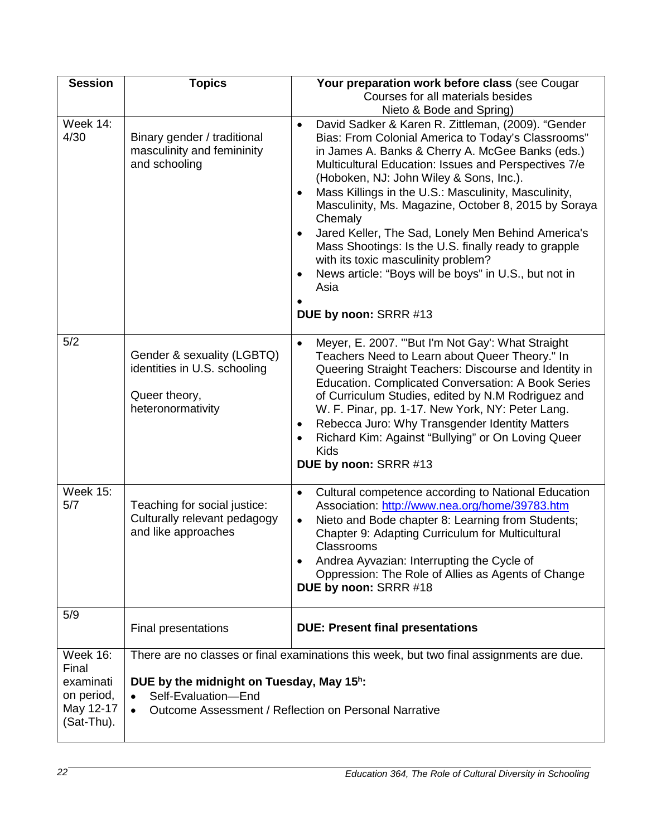| <b>Session</b>                                     | <b>Topics</b>                                                                                                                                                   | Your preparation work before class (see Cougar                                                                                                                                                                                                                                                                                                                                                                                                                                                                                                                                                                                                                      |
|----------------------------------------------------|-----------------------------------------------------------------------------------------------------------------------------------------------------------------|---------------------------------------------------------------------------------------------------------------------------------------------------------------------------------------------------------------------------------------------------------------------------------------------------------------------------------------------------------------------------------------------------------------------------------------------------------------------------------------------------------------------------------------------------------------------------------------------------------------------------------------------------------------------|
|                                                    |                                                                                                                                                                 | Courses for all materials besides                                                                                                                                                                                                                                                                                                                                                                                                                                                                                                                                                                                                                                   |
|                                                    |                                                                                                                                                                 | Nieto & Bode and Spring)                                                                                                                                                                                                                                                                                                                                                                                                                                                                                                                                                                                                                                            |
| Week 14:<br>4/30                                   | Binary gender / traditional<br>masculinity and femininity<br>and schooling                                                                                      | David Sadker & Karen R. Zittleman, (2009). "Gender<br>$\bullet$<br>Bias: From Colonial America to Today's Classrooms"<br>in James A. Banks & Cherry A. McGee Banks (eds.)<br>Multicultural Education: Issues and Perspectives 7/e<br>(Hoboken, NJ: John Wiley & Sons, Inc.).<br>Mass Killings in the U.S.: Masculinity, Masculinity,<br>Masculinity, Ms. Magazine, October 8, 2015 by Soraya<br>Chemaly<br>Jared Keller, The Sad, Lonely Men Behind America's<br>Mass Shootings: Is the U.S. finally ready to grapple<br>with its toxic masculinity problem?<br>News article: "Boys will be boys" in U.S., but not in<br>$\bullet$<br>Asia<br>DUE by noon: SRRR #13 |
| 5/2                                                | Gender & sexuality (LGBTQ)<br>identities in U.S. schooling<br>Queer theory,<br>heteronormativity                                                                | Meyer, E. 2007. "'But I'm Not Gay': What Straight<br>$\bullet$<br>Teachers Need to Learn about Queer Theory." In<br>Queering Straight Teachers: Discourse and Identity in<br>Education. Complicated Conversation: A Book Series<br>of Curriculum Studies, edited by N.M Rodriguez and<br>W. F. Pinar, pp. 1-17. New York, NY: Peter Lang.<br>Rebecca Juro: Why Transgender Identity Matters<br>$\bullet$<br>Richard Kim: Against "Bullying" or On Loving Queer<br><b>Kids</b><br>DUE by noon: SRRR #13                                                                                                                                                              |
| <b>Week 15:</b><br>5/7                             | Teaching for social justice:<br>Culturally relevant pedagogy<br>and like approaches                                                                             | Cultural competence according to National Education<br>$\bullet$<br>Association: http://www.nea.org/home/39783.htm<br>Nieto and Bode chapter 8: Learning from Students;<br>$\bullet$<br>Chapter 9: Adapting Curriculum for Multicultural<br>Classrooms<br>Andrea Ayvazian: Interrupting the Cycle of<br>Oppression: The Role of Allies as Agents of Change<br>DUE by noon: SRRR #18                                                                                                                                                                                                                                                                                 |
| 5/9                                                | Final presentations                                                                                                                                             | <b>DUE: Present final presentations</b>                                                                                                                                                                                                                                                                                                                                                                                                                                                                                                                                                                                                                             |
| <b>Week 16:</b><br>Final                           | There are no classes or final examinations this week, but two final assignments are due.                                                                        |                                                                                                                                                                                                                                                                                                                                                                                                                                                                                                                                                                                                                                                                     |
| examinati<br>on period,<br>May 12-17<br>(Sat-Thu). | DUE by the midnight on Tuesday, May 15 <sup>h</sup> :<br>Self-Evaluation-End<br>$\bullet$<br>Outcome Assessment / Reflection on Personal Narrative<br>$\bullet$ |                                                                                                                                                                                                                                                                                                                                                                                                                                                                                                                                                                                                                                                                     |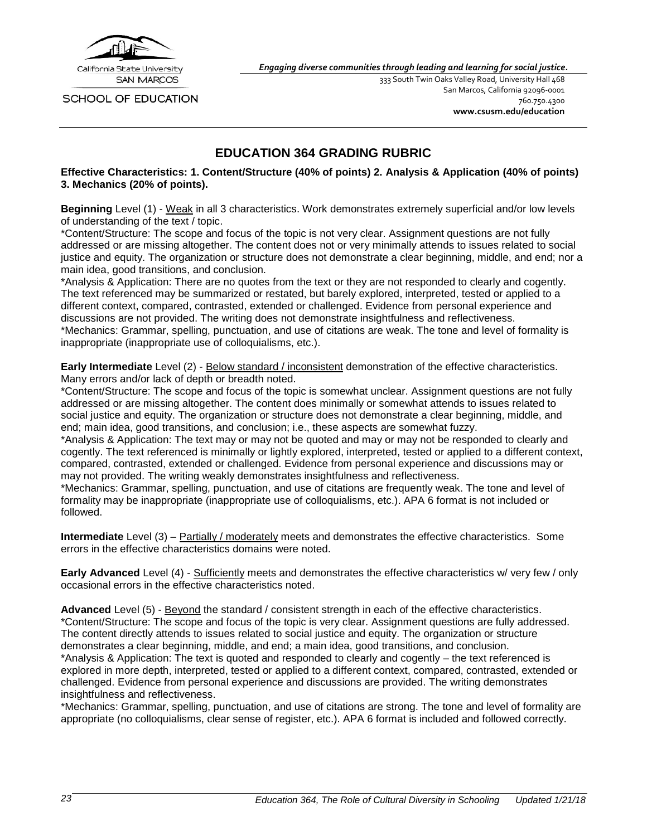

SCHOOL OF EDUCATION

*Engaging diverse communities through leading and learning for social justice.*

333 South Twin Oaks Valley Road, University Hall 468 San Marcos, California 92096-0001 760.750.4300 **[www.csusm.edu/education](http://www.csusm.edu/education)**

### **EDUCATION 364 GRADING RUBRIC**

<span id="page-22-0"></span>**Effective Characteristics: 1. Content/Structure (40% of points) 2. Analysis & Application (40% of points) 3. Mechanics (20% of points).**

**Beginning** Level (1) - Weak in all 3 characteristics. Work demonstrates extremely superficial and/or low levels of understanding of the text / topic.

\*Content/Structure: The scope and focus of the topic is not very clear. Assignment questions are not fully addressed or are missing altogether. The content does not or very minimally attends to issues related to social justice and equity. The organization or structure does not demonstrate a clear beginning, middle, and end; nor a main idea, good transitions, and conclusion.

\*Analysis & Application: There are no quotes from the text or they are not responded to clearly and cogently. The text referenced may be summarized or restated, but barely explored, interpreted, tested or applied to a different context, compared, contrasted, extended or challenged. Evidence from personal experience and discussions are not provided. The writing does not demonstrate insightfulness and reflectiveness. \*Mechanics: Grammar, spelling, punctuation, and use of citations are weak. The tone and level of formality is inappropriate (inappropriate use of colloquialisms, etc.).

**Early Intermediate** Level (2) - Below standard / inconsistent demonstration of the effective characteristics. Many errors and/or lack of depth or breadth noted.

\*Content/Structure: The scope and focus of the topic is somewhat unclear. Assignment questions are not fully addressed or are missing altogether. The content does minimally or somewhat attends to issues related to social justice and equity. The organization or structure does not demonstrate a clear beginning, middle, and end; main idea, good transitions, and conclusion; i.e., these aspects are somewhat fuzzy.

\*Analysis & Application: The text may or may not be quoted and may or may not be responded to clearly and cogently. The text referenced is minimally or lightly explored, interpreted, tested or applied to a different context, compared, contrasted, extended or challenged. Evidence from personal experience and discussions may or may not provided. The writing weakly demonstrates insightfulness and reflectiveness.

\*Mechanics: Grammar, spelling, punctuation, and use of citations are frequently weak. The tone and level of formality may be inappropriate (inappropriate use of colloquialisms, etc.). APA 6 format is not included or followed.

**Intermediate** Level (3) – **Partially / moderately** meets and demonstrates the effective characteristics. Some errors in the effective characteristics domains were noted.

**Early Advanced** Level (4) - Sufficiently meets and demonstrates the effective characteristics w/ very few / only occasional errors in the effective characteristics noted.

**Advanced** Level (5) - Beyond the standard / consistent strength in each of the effective characteristics. \*Content/Structure: The scope and focus of the topic is very clear. Assignment questions are fully addressed. The content directly attends to issues related to social justice and equity. The organization or structure demonstrates a clear beginning, middle, and end; a main idea, good transitions, and conclusion.

\*Analysis & Application: The text is quoted and responded to clearly and cogently – the text referenced is explored in more depth, interpreted, tested or applied to a different context, compared, contrasted, extended or challenged. Evidence from personal experience and discussions are provided. The writing demonstrates insightfulness and reflectiveness.

\*Mechanics: Grammar, spelling, punctuation, and use of citations are strong. The tone and level of formality are appropriate (no colloquialisms, clear sense of register, etc.). APA 6 format is included and followed correctly.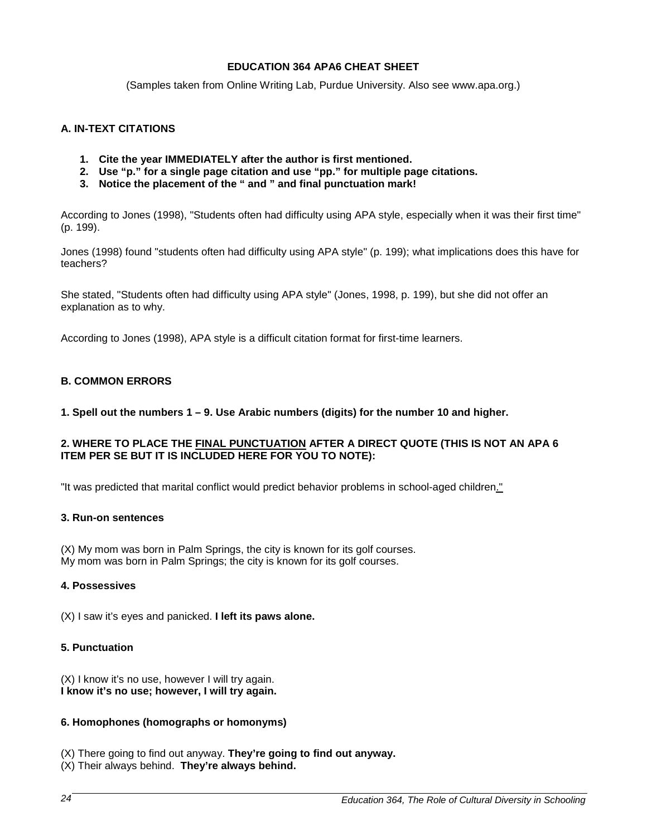### **EDUCATION 364 APA6 CHEAT SHEET**

(Samples taken from Online Writing Lab, Purdue University. Also see www.apa.org.)

### <span id="page-23-0"></span>**A. IN-TEXT CITATIONS**

- **1. Cite the year IMMEDIATELY after the author is first mentioned.**
- **2. Use "p." for a single page citation and use "pp." for multiple page citations.**
- **3. Notice the placement of the " and " and final punctuation mark!**

According to Jones (1998), "Students often had difficulty using APA style, especially when it was their first time" (p. 199).

Jones (1998) found "students often had difficulty using APA style" (p. 199); what implications does this have for teachers?

She stated, "Students often had difficulty using APA style" (Jones, 1998, p. 199), but she did not offer an explanation as to why.

According to Jones (1998), APA style is a difficult citation format for first-time learners.

### **B. COMMON ERRORS**

**1. Spell out the numbers 1 – 9. Use Arabic numbers (digits) for the number 10 and higher.**

### **2. WHERE TO PLACE THE FINAL PUNCTUATION AFTER A DIRECT QUOTE (THIS IS NOT AN APA 6 ITEM PER SE BUT IT IS INCLUDED HERE FOR YOU TO NOTE):**

"It was predicted that marital conflict would predict behavior problems in school-aged children."

#### **3. Run-on sentences**

(X) My mom was born in Palm Springs, the city is known for its golf courses. My mom was born in Palm Springs; the city is known for its golf courses.

#### **4. Possessives**

(X) I saw it's eyes and panicked. **I left its paws alone.**

#### **5. Punctuation**

(X) I know it's no use, however I will try again. **I know it's no use; however, I will try again.**

#### **6. Homophones (homographs or homonyms)**

- (X) There going to find out anyway. **They're going to find out anyway.**
- (X) Their always behind. **They're always behind.**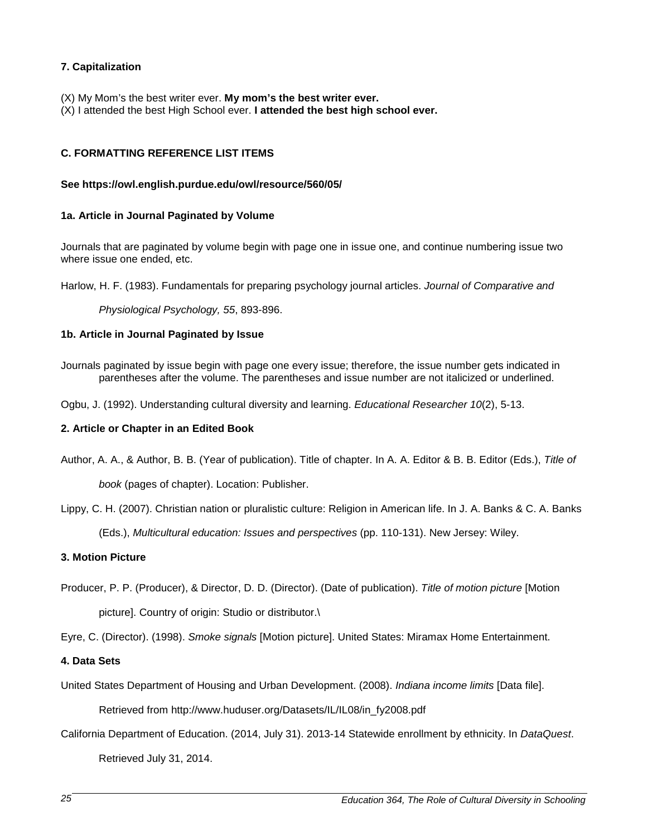### **7. Capitalization**

- (X) My Mom's the best writer ever. **My mom's the best writer ever.**
- (X) I attended the best High School ever. **I attended the best high school ever.**

### **C. FORMATTING REFERENCE LIST ITEMS**

### **See https://owl.english.purdue.edu/owl/resource/560/05/**

### **1a. Article in Journal Paginated by Volume**

Journals that are paginated by volume begin with page one in issue one, and continue numbering issue two where issue one ended, etc.

Harlow, H. F. (1983). Fundamentals for preparing psychology journal articles. *Journal of Comparative and* 

*Physiological Psychology, 55*, 893-896.

### **1b. Article in Journal Paginated by Issue**

Journals paginated by issue begin with page one every issue; therefore, the issue number gets indicated in parentheses after the volume. The parentheses and issue number are not italicized or underlined.

Ogbu, J. (1992). Understanding cultural diversity and learning. *Educational Researcher 10*(2), 5-13.

### **2. Article or Chapter in an Edited Book**

Author, A. A., & Author, B. B. (Year of publication). Title of chapter. In A. A. Editor & B. B. Editor (Eds.), *Title of* 

*book* (pages of chapter). Location: Publisher.

Lippy, C. H. (2007). Christian nation or pluralistic culture: Religion in American life. In J. A. Banks & C. A. Banks

(Eds.), *Multicultural education: Issues and perspectives* (pp. 110-131). New Jersey: Wiley.

### **3. Motion Picture**

Producer, P. P. (Producer), & Director, D. D. (Director). (Date of publication). *Title of motion picture* [Motion picture]. Country of origin: Studio or distributor.\

Eyre, C. (Director). (1998). *Smoke signals* [Motion picture]. United States: Miramax Home Entertainment.

### **4. Data Sets**

United States Department of Housing and Urban Development. (2008). *Indiana income limits* [Data file].

Retrieved from [http://www.huduser.org/Datasets/IL/IL08/in\\_fy2008.pd](http://www.huduser.org/Datasets/IL/IL08/in_fy2008.p)f

California Department of Education. (2014, July 31). 2013-14 Statewide enrollment by ethnicity. In *DataQuest*.

Retrieved July 31, 2014.